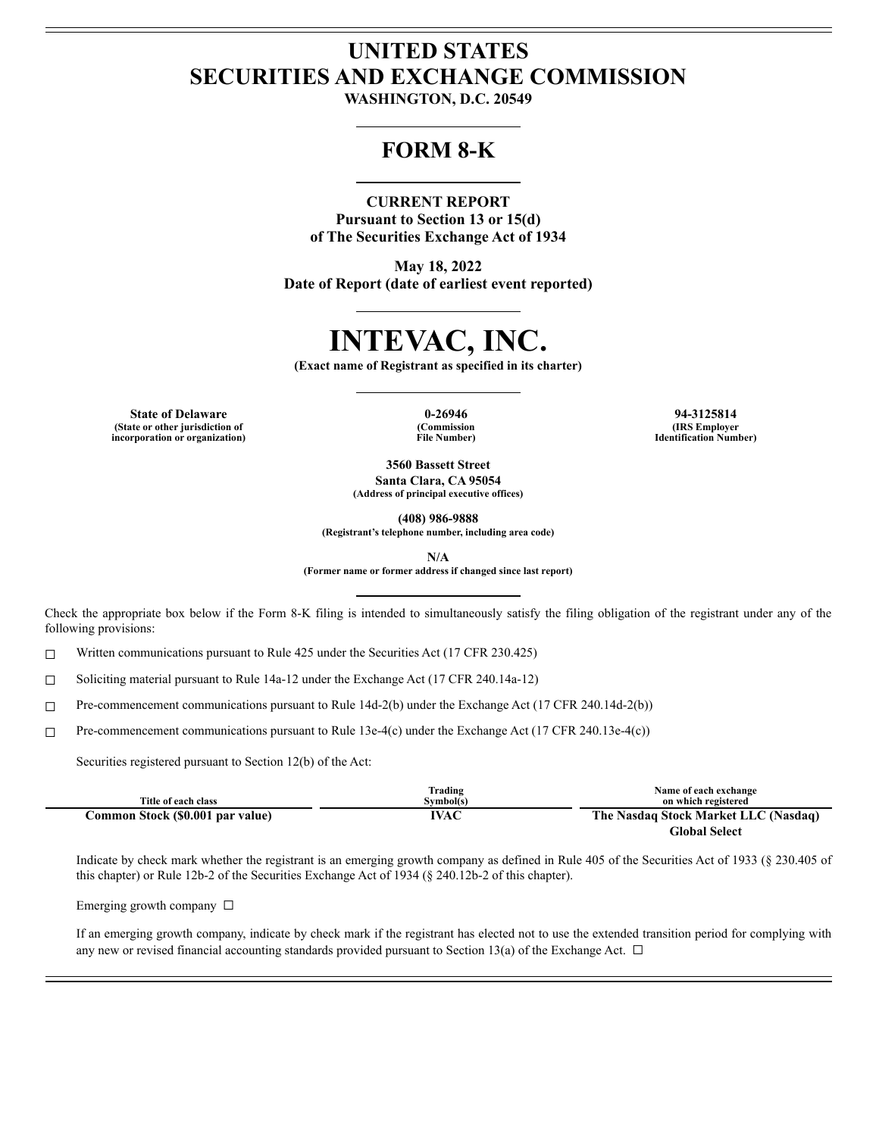# **UNITED STATES SECURITIES AND EXCHANGE COMMISSION**

**WASHINGTON, D.C. 20549**

## **FORM 8-K**

#### **CURRENT REPORT**

**Pursuant to Section 13 or 15(d) of The Securities Exchange Act of 1934**

**May 18, 2022 Date of Report (date of earliest event reported)**

# **INTEVAC, INC.**

**(Exact name of Registrant as specified in its charter)**

**State of Delaware 0-26946 94-3125814 (State or other jurisdiction of incorporation or organization)**

**(Commission File Number)**

**(IRS Employer Identification Number)**

**3560 Bassett Street Santa Clara, CA 95054 (Address of principal executive offices)**

**(408) 986-9888**

**(Registrant's telephone number, including area code)**

**N/A**

**(Former name or former address if changed since last report)**

Check the appropriate box below if the Form 8-K filing is intended to simultaneously satisfy the filing obligation of the registrant under any of the following provisions:

☐ Written communications pursuant to Rule 425 under the Securities Act (17 CFR 230.425)

☐ Soliciting material pursuant to Rule 14a-12 under the Exchange Act (17 CFR 240.14a-12)

☐ Pre-commencement communications pursuant to Rule 14d-2(b) under the Exchange Act (17 CFR 240.14d-2(b))

☐ Pre-commencement communications pursuant to Rule 13e-4(c) under the Exchange Act (17 CFR 240.13e-4(c))

Securities registered pursuant to Section 12(b) of the Act:

|                                  | Trading   | Name of each exchange                |
|----------------------------------|-----------|--------------------------------------|
| Title of each class              | Svmbol(s) | on which registered                  |
| Common Stock (\$0.001 par value) | IVAC      | The Nasdaq Stock Market LLC (Nasdaq) |
|                                  |           | <b>Global Select</b>                 |

Indicate by check mark whether the registrant is an emerging growth company as defined in Rule 405 of the Securities Act of 1933 (§ 230.405 of this chapter) or Rule 12b-2 of the Securities Exchange Act of 1934 (§ 240.12b-2 of this chapter).

Emerging growth company ☐

If an emerging growth company, indicate by check mark if the registrant has elected not to use the extended transition period for complying with any new or revised financial accounting standards provided pursuant to Section 13(a) of the Exchange Act.  $\Box$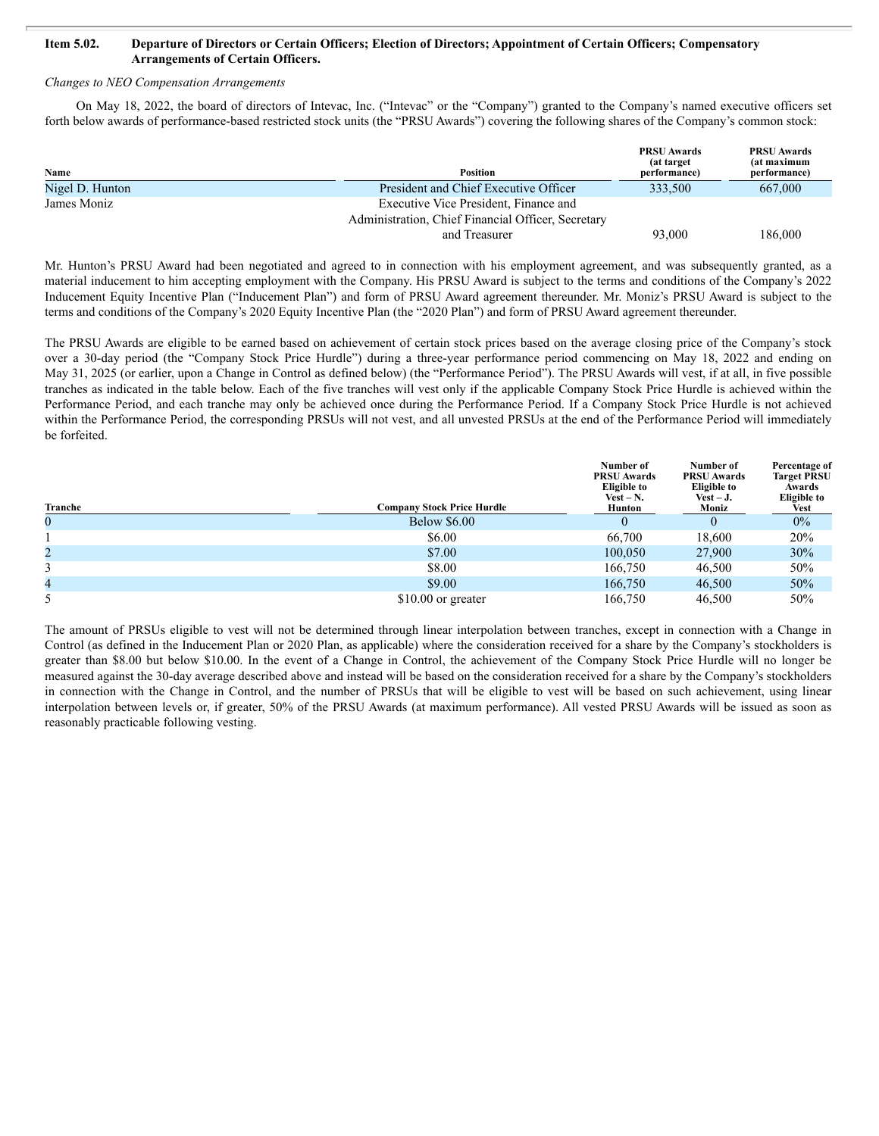#### Item 5.02. Departure of Directors or Certain Officers; Election of Directors; Appointment of Certain Officers; Compensatory **Arrangements of Certain Officers.**

#### *Changes to NEO Compensation Arrangements*

On May 18, 2022, the board of directors of Intevac, Inc. ("Intevac" or the "Company") granted to the Company's named executive officers set forth below awards of performance-based restricted stock units (the "PRSU Awards") covering the following shares of the Company's common stock:

| Name            | <b>Position</b>                                    | <b>PRSU Awards</b><br>(at target)<br>(performance) | <b>PRSU Awards</b><br>(at maximum<br>performance) |
|-----------------|----------------------------------------------------|----------------------------------------------------|---------------------------------------------------|
| Nigel D. Hunton | President and Chief Executive Officer              | 333,500                                            | 667,000                                           |
| James Moniz     | Executive Vice President, Finance and              |                                                    |                                                   |
|                 | Administration, Chief Financial Officer, Secretary |                                                    |                                                   |
|                 | and Treasurer                                      | 93,000                                             | 186,000                                           |

Mr. Hunton's PRSU Award had been negotiated and agreed to in connection with his employment agreement, and was subsequently granted, as a material inducement to him accepting employment with the Company. His PRSU Award is subject to the terms and conditions of the Company's 2022 Inducement Equity Incentive Plan ("Inducement Plan") and form of PRSU Award agreement thereunder. Mr. Moniz's PRSU Award is subject to the terms and conditions of the Company's 2020 Equity Incentive Plan (the "2020 Plan") and form of PRSU Award agreement thereunder.

The PRSU Awards are eligible to be earned based on achievement of certain stock prices based on the average closing price of the Company's stock over a 30-day period (the "Company Stock Price Hurdle") during a three-year performance period commencing on May 18, 2022 and ending on May 31, 2025 (or earlier, upon a Change in Control as defined below) (the "Performance Period"). The PRSU Awards will vest, if at all, in five possible tranches as indicated in the table below. Each of the five tranches will vest only if the applicable Company Stock Price Hurdle is achieved within the Performance Period, and each tranche may only be achieved once during the Performance Period. If a Company Stock Price Hurdle is not achieved within the Performance Period, the corresponding PRSUs will not vest, and all unvested PRSUs at the end of the Performance Period will immediately be forfeited.

| Tranche | Company Stock Price Hurdle | Number of<br><b>PRSU Awards</b><br><b>Eligible to</b><br>$Vest - N.$<br>Hunton | Number of<br><b>PRSU Awards</b><br><b>Eligible to</b><br>$\text{Vest} - \textbf{J}$ .<br>Moniz | Percentage of<br><b>Target PRSU</b><br>Awards<br><b>Eligible to</b><br>Vest |
|---------|----------------------------|--------------------------------------------------------------------------------|------------------------------------------------------------------------------------------------|-----------------------------------------------------------------------------|
| 0       | <b>Below \$6.00</b>        |                                                                                |                                                                                                | $0\%$                                                                       |
|         | \$6.00                     | 66,700                                                                         | 18,600                                                                                         | 20%                                                                         |
| 2       | \$7.00                     | 100,050                                                                        | 27,900                                                                                         | 30%                                                                         |
|         | \$8.00                     | 166.750                                                                        | 46,500                                                                                         | 50%                                                                         |
| 4       | \$9.00                     | 166,750                                                                        | 46,500                                                                                         | 50%                                                                         |
| 5       | \$10.00 or greater         | 166,750                                                                        | 46,500                                                                                         | 50%                                                                         |

The amount of PRSUs eligible to vest will not be determined through linear interpolation between tranches, except in connection with a Change in Control (as defined in the Inducement Plan or 2020 Plan, as applicable) where the consideration received for a share by the Company's stockholders is greater than \$8.00 but below \$10.00. In the event of a Change in Control, the achievement of the Company Stock Price Hurdle will no longer be measured against the 30-day average described above and instead will be based on the consideration received for a share by the Company's stockholders in connection with the Change in Control, and the number of PRSUs that will be eligible to vest will be based on such achievement, using linear interpolation between levels or, if greater, 50% of the PRSU Awards (at maximum performance). All vested PRSU Awards will be issued as soon as reasonably practicable following vesting.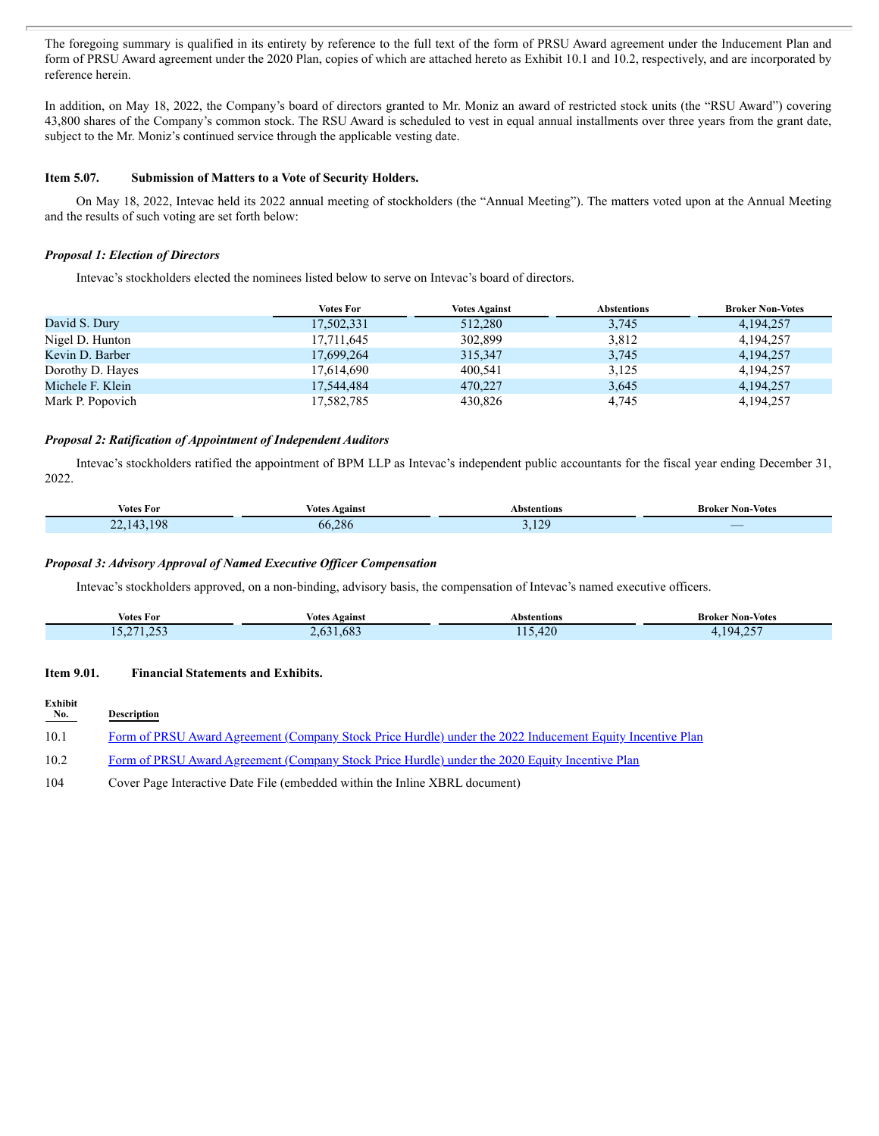The foregoing summary is qualified in its entirety by reference to the full text of the form of PRSU Award agreement under the Inducement Plan and form of PRSU Award agreement under the 2020 Plan, copies of which are attached hereto as Exhibit 10.1 and 10.2, respectively, and are incorporated by reference herein.

In addition, on May 18, 2022, the Company's board of directors granted to Mr. Moniz an award of restricted stock units (the "RSU Award") covering 43,800 shares of the Company's common stock. The RSU Award is scheduled to vest in equal annual installments over three years from the grant date, subject to the Mr. Moniz's continued service through the applicable vesting date.

#### **Item 5.07. Submission of Matters to a Vote of Security Holders.**

On May 18, 2022, Intevac held its 2022 annual meeting of stockholders (the "Annual Meeting"). The matters voted upon at the Annual Meeting and the results of such voting are set forth below:

#### *Proposal 1: Election of Directors*

Intevac's stockholders elected the nominees listed below to serve on Intevac's board of directors.

|                  | Votes For  | <b>Votes Against</b> | <b>Abstentions</b> | <b>Broker Non-Votes</b> |
|------------------|------------|----------------------|--------------------|-------------------------|
| David S. Dury    | 17,502,331 | 512,280              | 3,745              | 4, 194, 257             |
| Nigel D. Hunton  | 17,711,645 | 302,899              | 3,812              | 4,194,257               |
| Kevin D. Barber  | 17,699,264 | 315,347              | 3,745              | 4.194.257               |
| Dorothy D. Hayes | 17,614,690 | 400,541              | 3,125              | 4,194,257               |
| Michele F. Klein | 17,544,484 | 470.227              | 3,645              | 4, 194, 257             |
| Mark P. Popovich | 17,582,785 | 430.826              | 4,745              | 4,194,257               |

#### *Proposal 2: Ratification of Appointment of Independent Auditors*

Intevac's stockholders ratified the appointment of BPM LLP as Intevac's independent public accountants for the fiscal year ending December 31, 2022.

| Votes For                                                               | <b>Votes Against</b> | stentions                     | <b>Broker</b><br>Non-Votes ' |
|-------------------------------------------------------------------------|----------------------|-------------------------------|------------------------------|
| 198<br>$\sqrt{2}$<br>$\sim$<br>$\Delta$<br>--<br><b>Service Service</b> | 66.286               | 120<br>.<br><b>CONTRACTOR</b> | _                            |

#### *Proposal 3: Advisory Approval of Named Executive Of icer Compensation*

Intevac's stockholders approved, on a non-binding, advisory basis, the compensation of Intevac's named executive officers.

|                                                     | Votes                                       | Abstentions                                                                                                                          | Non-Votes                      |
|-----------------------------------------------------|---------------------------------------------|--------------------------------------------------------------------------------------------------------------------------------------|--------------------------------|
| Votes For                                           | Against                                     |                                                                                                                                      | Broker                         |
| $\sim$ $\sim$ $\sim$ $\sim$<br>$\cap$ r $\cap$<br>. | $\sim$<br>08 <sup>1</sup><br>$n+1$<br>- - - | 120<br>44ZV<br><b>Contract Contract Contract Contract Contract Contract Contract Contract Contract Contract Contract Contract Co</b> | $\bigcap$<br>194<br>$-1$<br>-- |

#### **Item 9.01. Financial Statements and Exhibits.**

| Exhibit<br>No. | <b>Description</b>                                                                                        |
|----------------|-----------------------------------------------------------------------------------------------------------|
| 10.1           | Form of PRSU Award Agreement (Company Stock Price Hurdle) under the 2022 Inducement Equity Incentive Plan |
| 10.2           | Form of PRSU Award Agreement (Company Stock Price Hurdle) under the 2020 Equity Incentive Plan            |

104 Cover Page Interactive Date File (embedded within the Inline XBRL document)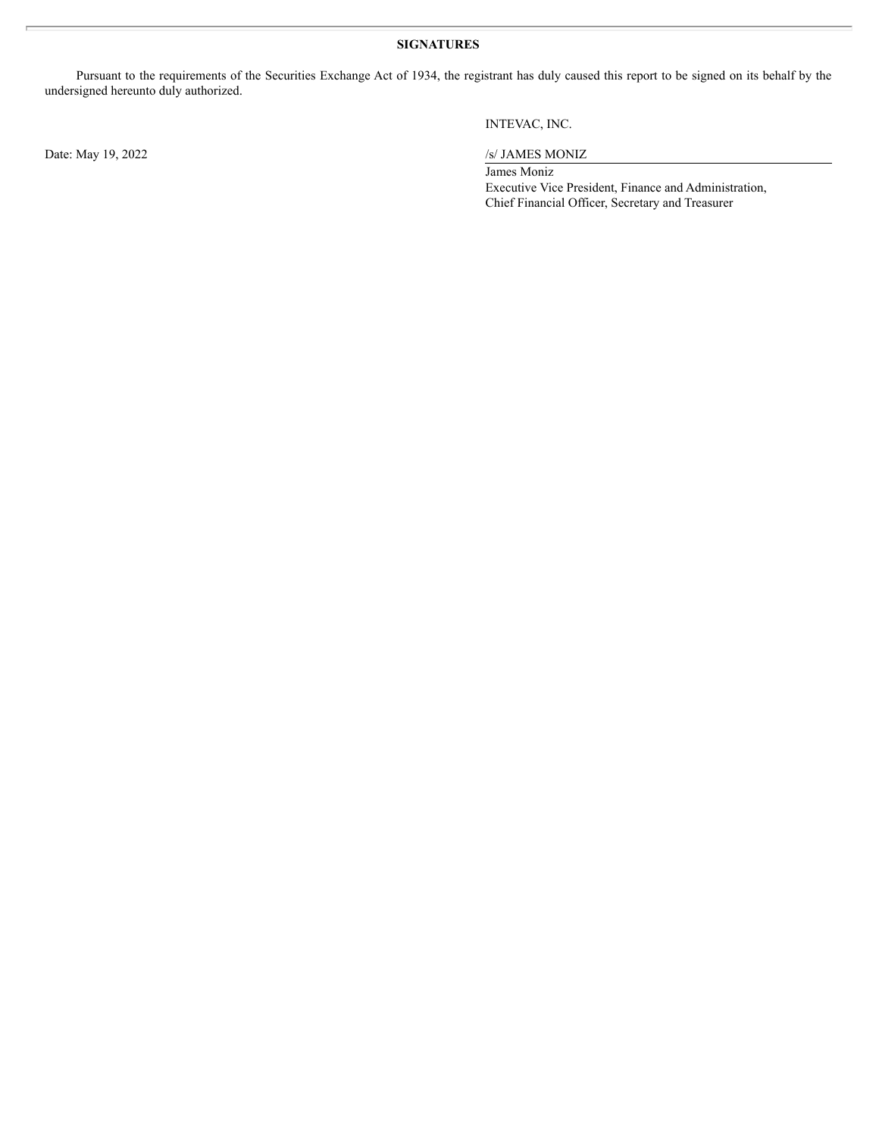#### **SIGNATURES**

Pursuant to the requirements of the Securities Exchange Act of 1934, the registrant has duly caused this report to be signed on its behalf by the undersigned hereunto duly authorized.

Date: May 19, 2022 /s/ JAMES MONIZ

#### INTEVAC, INC.

James Moniz Executive Vice President, Finance and Administration, Chief Financial Officer, Secretary and Treasurer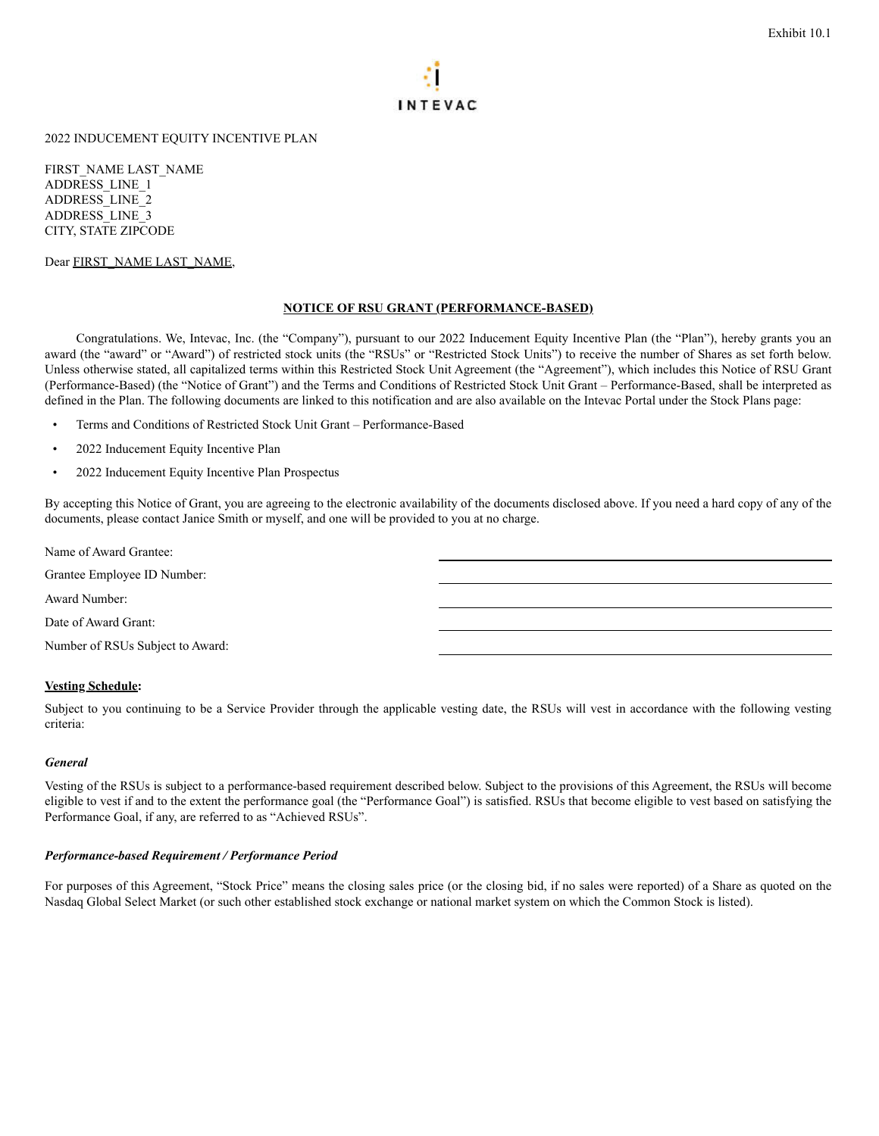

<span id="page-4-0"></span>2022 INDUCEMENT EQUITY INCENTIVE PLAN

FIRST\_NAME LAST\_NAME ADDRESS\_LINE\_1 ADDRESS\_LINE\_2 ADDRESS\_LINE\_3 CITY, STATE ZIPCODE

Dear FIRST\_NAME LAST\_NAME,

#### **NOTICE OF RSU GRANT (PERFORMANCE-BASED)**

Congratulations. We, Intevac, Inc. (the "Company"), pursuant to our 2022 Inducement Equity Incentive Plan (the "Plan"), hereby grants you an award (the "award" or "Award") of restricted stock units (the "RSUs" or "Restricted Stock Units") to receive the number of Shares as set forth below. Unless otherwise stated, all capitalized terms within this Restricted Stock Unit Agreement (the "Agreement"), which includes this Notice of RSU Grant (Performance-Based) (the "Notice of Grant") and the Terms and Conditions of Restricted Stock Unit Grant – Performance-Based, shall be interpreted as defined in the Plan. The following documents are linked to this notification and are also available on the Intevac Portal under the Stock Plans page:

- Terms and Conditions of Restricted Stock Unit Grant Performance-Based
- 2022 Inducement Equity Incentive Plan
- 2022 Inducement Equity Incentive Plan Prospectus

By accepting this Notice of Grant, you are agreeing to the electronic availability of the documents disclosed above. If you need a hard copy of any of the documents, please contact Janice Smith or myself, and one will be provided to you at no charge.

Name of Award Grantee:

Grantee Employee ID Number:

Award Number:

Date of Award Grant:

Number of RSUs Subject to Award:

#### **Vesting Schedule:**

Subject to you continuing to be a Service Provider through the applicable vesting date, the RSUs will vest in accordance with the following vesting criteria:

#### *General*

Vesting of the RSUs is subject to a performance-based requirement described below. Subject to the provisions of this Agreement, the RSUs will become eligible to vest if and to the extent the performance goal (the "Performance Goal") is satisfied. RSUs that become eligible to vest based on satisfying the Performance Goal, if any, are referred to as "Achieved RSUs".

#### *Performance-based Requirement / Performance Period*

For purposes of this Agreement, "Stock Price" means the closing sales price (or the closing bid, if no sales were reported) of a Share as quoted on the Nasdaq Global Select Market (or such other established stock exchange or national market system on which the Common Stock is listed).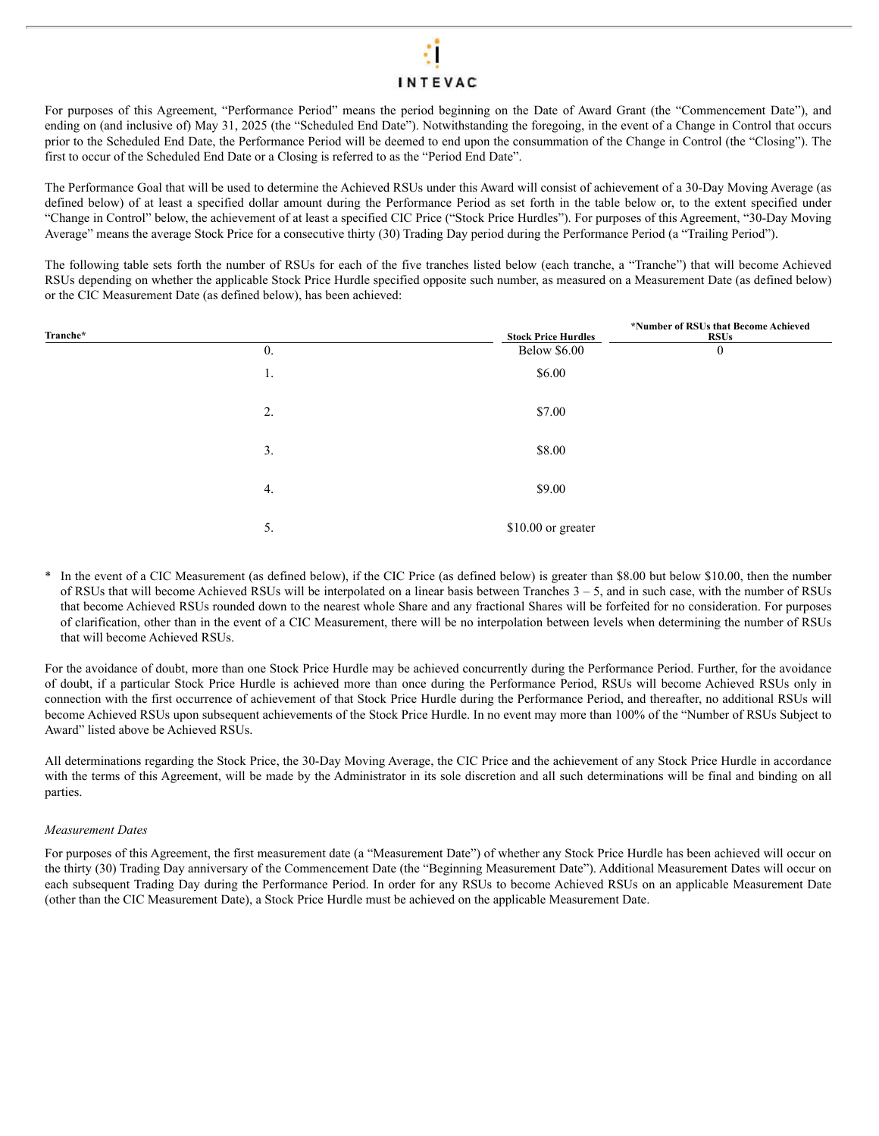## **INTEVAC**

For purposes of this Agreement, "Performance Period" means the period beginning on the Date of Award Grant (the "Commencement Date"), and ending on (and inclusive of) May 31, 2025 (the "Scheduled End Date"). Notwithstanding the foregoing, in the event of a Change in Control that occurs prior to the Scheduled End Date, the Performance Period will be deemed to end upon the consummation of the Change in Control (the "Closing"). The first to occur of the Scheduled End Date or a Closing is referred to as the "Period End Date".

The Performance Goal that will be used to determine the Achieved RSUs under this Award will consist of achievement of a 30-Day Moving Average (as defined below) of at least a specified dollar amount during the Performance Period as set forth in the table below or, to the extent specified under "Change in Control" below, the achievement of at least a specified CIC Price ("Stock Price Hurdles"). For purposes of this Agreement, "30-Day Moving Average" means the average Stock Price for a consecutive thirty (30) Trading Day period during the Performance Period (a "Trailing Period").

The following table sets forth the number of RSUs for each of the five tranches listed below (each tranche, a "Tranche") that will become Achieved RSUs depending on whether the applicable Stock Price Hurdle specified opposite such number, as measured on a Measurement Date (as defined below) or the CIC Measurement Date (as defined below), has been achieved:

| Tranche* |                  | <b>Stock Price Hurdles</b> | *Number of RSUs that Become Achieved<br><b>RSUs</b> |
|----------|------------------|----------------------------|-----------------------------------------------------|
|          | $\overline{0}$ . | <b>Below \$6.00</b>        | $\boldsymbol{0}$                                    |
|          | 1.               | \$6.00                     |                                                     |
|          | 2.               | \$7.00                     |                                                     |
|          | 3.               | \$8.00                     |                                                     |
|          | 4.               | \$9.00                     |                                                     |
|          | 5.               | \$10.00 or greater         |                                                     |

In the event of a CIC Measurement (as defined below), if the CIC Price (as defined below) is greater than \$8.00 but below \$10.00, then the number of RSUs that will become Achieved RSUs will be interpolated on a linear basis between Tranches  $3 - 5$ , and in such case, with the number of RSUs that become Achieved RSUs rounded down to the nearest whole Share and any fractional Shares will be forfeited for no consideration. For purposes of clarification, other than in the event of a CIC Measurement, there will be no interpolation between levels when determining the number of RSUs that will become Achieved RSUs.

For the avoidance of doubt, more than one Stock Price Hurdle may be achieved concurrently during the Performance Period. Further, for the avoidance of doubt, if a particular Stock Price Hurdle is achieved more than once during the Performance Period, RSUs will become Achieved RSUs only in connection with the first occurrence of achievement of that Stock Price Hurdle during the Performance Period, and thereafter, no additional RSUs will become Achieved RSUs upon subsequent achievements of the Stock Price Hurdle. In no event may more than 100% of the "Number of RSUs Subject to Award" listed above be Achieved RSUs.

All determinations regarding the Stock Price, the 30-Day Moving Average, the CIC Price and the achievement of any Stock Price Hurdle in accordance with the terms of this Agreement, will be made by the Administrator in its sole discretion and all such determinations will be final and binding on all parties.

#### *Measurement Dates*

For purposes of this Agreement, the first measurement date (a "Measurement Date") of whether any Stock Price Hurdle has been achieved will occur on the thirty (30) Trading Day anniversary of the Commencement Date (the "Beginning Measurement Date"). Additional Measurement Dates will occur on each subsequent Trading Day during the Performance Period. In order for any RSUs to become Achieved RSUs on an applicable Measurement Date (other than the CIC Measurement Date), a Stock Price Hurdle must be achieved on the applicable Measurement Date.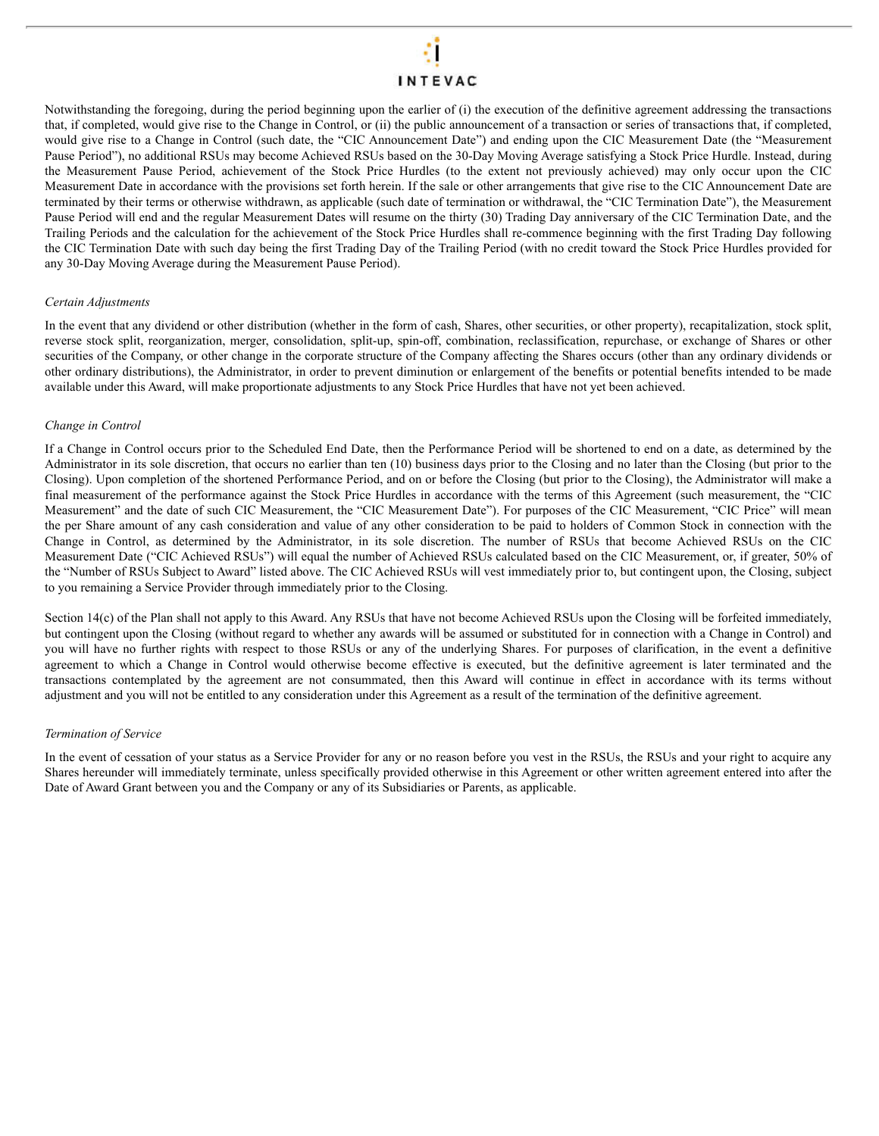## **INTEVAC**

Notwithstanding the foregoing, during the period beginning upon the earlier of (i) the execution of the definitive agreement addressing the transactions that, if completed, would give rise to the Change in Control, or (ii) the public announcement of a transaction or series of transactions that, if completed, would give rise to a Change in Control (such date, the "CIC Announcement Date") and ending upon the CIC Measurement Date (the "Measurement Pause Period"), no additional RSUs may become Achieved RSUs based on the 30-Day Moving Average satisfying a Stock Price Hurdle. Instead, during the Measurement Pause Period, achievement of the Stock Price Hurdles (to the extent not previously achieved) may only occur upon the CIC Measurement Date in accordance with the provisions set forth herein. If the sale or other arrangements that give rise to the CIC Announcement Date are terminated by their terms or otherwise withdrawn, as applicable (such date of termination or withdrawal, the "CIC Termination Date"), the Measurement Pause Period will end and the regular Measurement Dates will resume on the thirty (30) Trading Day anniversary of the CIC Termination Date, and the Trailing Periods and the calculation for the achievement of the Stock Price Hurdles shall re-commence beginning with the first Trading Day following the CIC Termination Date with such day being the first Trading Day of the Trailing Period (with no credit toward the Stock Price Hurdles provided for any 30-Day Moving Average during the Measurement Pause Period).

#### *Certain Adjustments*

In the event that any dividend or other distribution (whether in the form of cash, Shares, other securities, or other property), recapitalization, stock split, reverse stock split, reorganization, merger, consolidation, split-up, spin-off, combination, reclassification, repurchase, or exchange of Shares or other securities of the Company, or other change in the corporate structure of the Company affecting the Shares occurs (other than any ordinary dividends or other ordinary distributions), the Administrator, in order to prevent diminution or enlargement of the benefits or potential benefits intended to be made available under this Award, will make proportionate adjustments to any Stock Price Hurdles that have not yet been achieved.

#### *Change in Control*

If a Change in Control occurs prior to the Scheduled End Date, then the Performance Period will be shortened to end on a date, as determined by the Administrator in its sole discretion, that occurs no earlier than ten (10) business days prior to the Closing and no later than the Closing (but prior to the Closing). Upon completion of the shortened Performance Period, and on or before the Closing (but prior to the Closing), the Administrator will make a final measurement of the performance against the Stock Price Hurdles in accordance with the terms of this Agreement (such measurement, the "CIC Measurement" and the date of such CIC Measurement, the "CIC Measurement Date"). For purposes of the CIC Measurement, "CIC Price" will mean the per Share amount of any cash consideration and value of any other consideration to be paid to holders of Common Stock in connection with the Change in Control, as determined by the Administrator, in its sole discretion. The number of RSUs that become Achieved RSUs on the CIC Measurement Date ("CIC Achieved RSUs") will equal the number of Achieved RSUs calculated based on the CIC Measurement, or, if greater, 50% of the "Number of RSUs Subject to Award" listed above. The CIC Achieved RSUs will vest immediately prior to, but contingent upon, the Closing, subject to you remaining a Service Provider through immediately prior to the Closing.

Section 14(c) of the Plan shall not apply to this Award. Any RSUs that have not become Achieved RSUs upon the Closing will be forfeited immediately, but contingent upon the Closing (without regard to whether any awards will be assumed or substituted for in connection with a Change in Control) and you will have no further rights with respect to those RSUs or any of the underlying Shares. For purposes of clarification, in the event a definitive agreement to which a Change in Control would otherwise become effective is executed, but the definitive agreement is later terminated and the transactions contemplated by the agreement are not consummated, then this Award will continue in effect in accordance with its terms without adjustment and you will not be entitled to any consideration under this Agreement as a result of the termination of the definitive agreement.

#### *Termination of Service*

In the event of cessation of your status as a Service Provider for any or no reason before you vest in the RSUs, the RSUs and your right to acquire any Shares hereunder will immediately terminate, unless specifically provided otherwise in this Agreement or other written agreement entered into after the Date of Award Grant between you and the Company or any of its Subsidiaries or Parents, as applicable.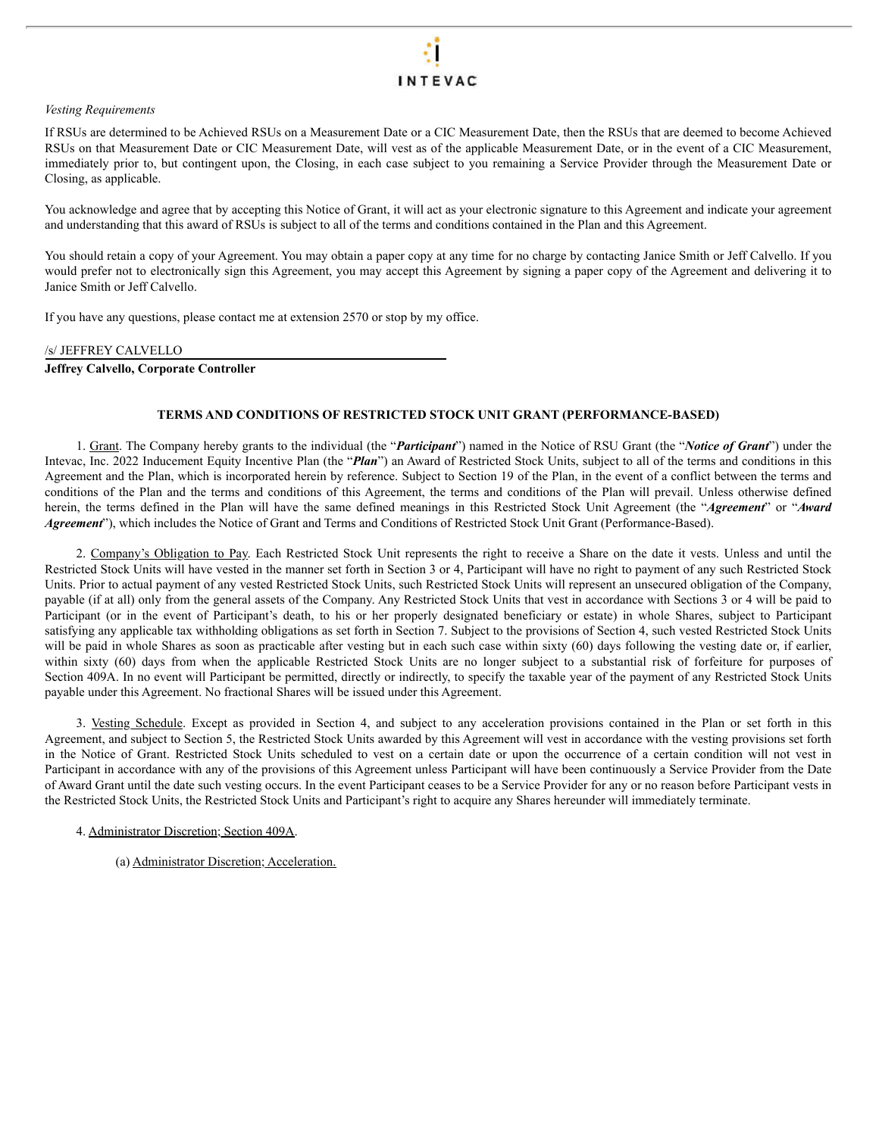#### *Vesting Requirements*

If RSUs are determined to be Achieved RSUs on a Measurement Date or a CIC Measurement Date, then the RSUs that are deemed to become Achieved RSUs on that Measurement Date or CIC Measurement Date, will vest as of the applicable Measurement Date, or in the event of a CIC Measurement, immediately prior to, but contingent upon, the Closing, in each case subject to you remaining a Service Provider through the Measurement Date or Closing, as applicable.

You acknowledge and agree that by accepting this Notice of Grant, it will act as your electronic signature to this Agreement and indicate your agreement and understanding that this award of RSUs is subject to all of the terms and conditions contained in the Plan and this Agreement.

You should retain a copy of your Agreement. You may obtain a paper copy at any time for no charge by contacting Janice Smith or Jeff Calvello. If you would prefer not to electronically sign this Agreement, you may accept this Agreement by signing a paper copy of the Agreement and delivering it to Janice Smith or Jeff Calvello.

If you have any questions, please contact me at extension 2570 or stop by my office.

#### /s/ JEFFREY CALVELLO

#### **Jeffrey Calvello, Corporate Controller**

#### **TERMS AND CONDITIONS OF RESTRICTED STOCK UNIT GRANT (PERFORMANCE-BASED)**

1. Grant. The Company hereby grants to the individual (the "*Participant*") named in the Notice of RSU Grant (the "*Notice of Grant*") under the Intevac, Inc. 2022 Inducement Equity Incentive Plan (the "*Plan*") an Award of Restricted Stock Units, subject to all of the terms and conditions in this Agreement and the Plan, which is incorporated herein by reference. Subject to Section 19 of the Plan, in the event of a conflict between the terms and conditions of the Plan and the terms and conditions of this Agreement, the terms and conditions of the Plan will prevail. Unless otherwise defined herein, the terms defined in the Plan will have the same defined meanings in this Restricted Stock Unit Agreement (the "*Agreement*" or "*Award Agreement*"), which includes the Notice of Grant and Terms and Conditions of Restricted Stock Unit Grant (Performance-Based).

2. Company's Obligation to Pay. Each Restricted Stock Unit represents the right to receive a Share on the date it vests. Unless and until the Restricted Stock Units will have vested in the manner set forth in Section 3 or 4, Participant will have no right to payment of any such Restricted Stock Units. Prior to actual payment of any vested Restricted Stock Units, such Restricted Stock Units will represent an unsecured obligation of the Company, payable (if at all) only from the general assets of the Company. Any Restricted Stock Units that vest in accordance with Sections 3 or 4 will be paid to Participant (or in the event of Participant's death, to his or her properly designated beneficiary or estate) in whole Shares, subject to Participant satisfying any applicable tax withholding obligations as set forth in Section 7. Subject to the provisions of Section 4, such vested Restricted Stock Units will be paid in whole Shares as soon as practicable after vesting but in each such case within sixty (60) days following the vesting date or, if earlier, within sixty (60) days from when the applicable Restricted Stock Units are no longer subject to a substantial risk of forfeiture for purposes of Section 409A. In no event will Participant be permitted, directly or indirectly, to specify the taxable year of the payment of any Restricted Stock Units payable under this Agreement. No fractional Shares will be issued under this Agreement.

3. Vesting Schedule. Except as provided in Section 4, and subject to any acceleration provisions contained in the Plan or set forth in this Agreement, and subject to Section 5, the Restricted Stock Units awarded by this Agreement will vest in accordance with the vesting provisions set forth in the Notice of Grant. Restricted Stock Units scheduled to vest on a certain date or upon the occurrence of a certain condition will not vest in Participant in accordance with any of the provisions of this Agreement unless Participant will have been continuously a Service Provider from the Date of Award Grant until the date such vesting occurs. In the event Participant ceases to be a Service Provider for any or no reason before Participant vests in the Restricted Stock Units, the Restricted Stock Units and Participant's right to acquire any Shares hereunder will immediately terminate.

4. Administrator Discretion; Section 409A.

(a) Administrator Discretion; Acceleration.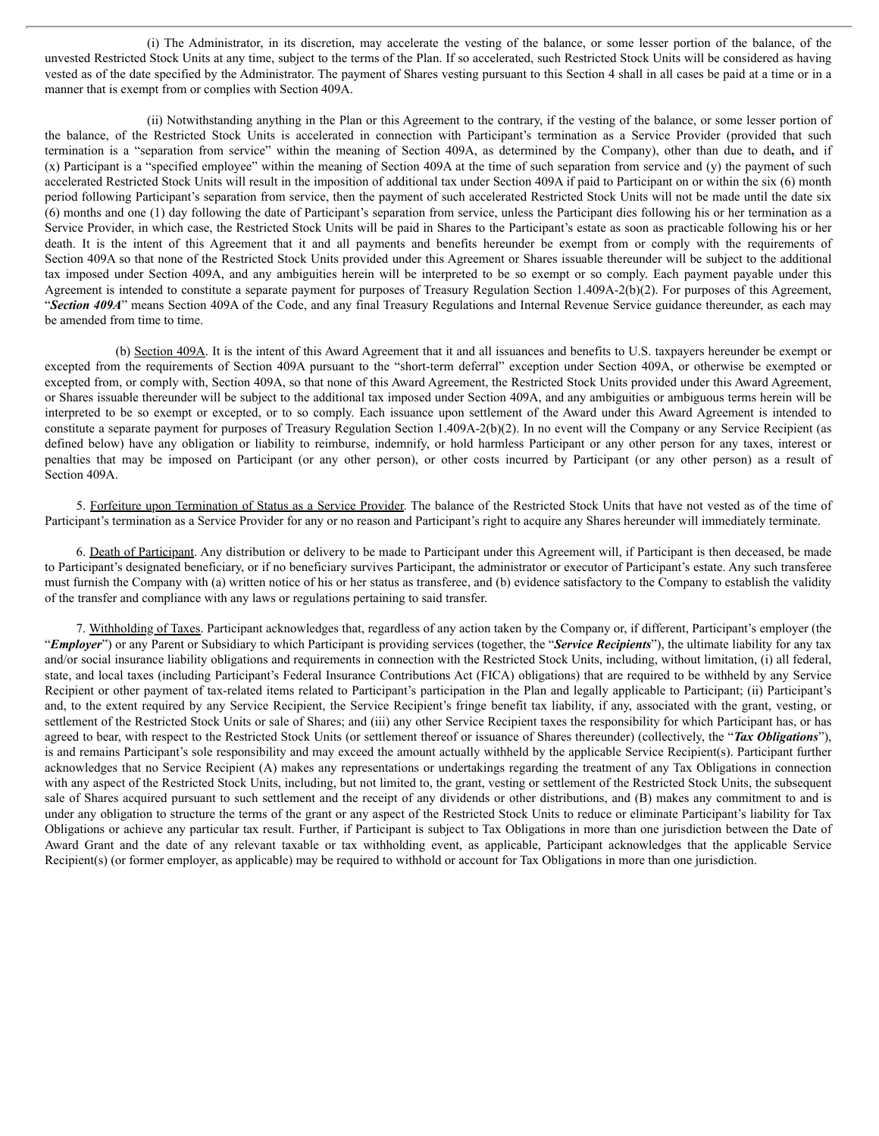(i) The Administrator, in its discretion, may accelerate the vesting of the balance, or some lesser portion of the balance, of the unvested Restricted Stock Units at any time, subject to the terms of the Plan. If so accelerated, such Restricted Stock Units will be considered as having vested as of the date specified by the Administrator. The payment of Shares vesting pursuant to this Section 4 shall in all cases be paid at a time or in a manner that is exempt from or complies with Section 409A.

(ii) Notwithstanding anything in the Plan or this Agreement to the contrary, if the vesting of the balance, or some lesser portion of the balance, of the Restricted Stock Units is accelerated in connection with Participant's termination as a Service Provider (provided that such termination is a "separation from service" within the meaning of Section 409A, as determined by the Company), other than due to death**,** and if (x) Participant is a "specified employee" within the meaning of Section 409A at the time of such separation from service and (y) the payment of such accelerated Restricted Stock Units will result in the imposition of additional tax under Section 409A if paid to Participant on or within the six (6) month period following Participant's separation from service, then the payment of such accelerated Restricted Stock Units will not be made until the date six (6) months and one (1) day following the date of Participant's separation from service, unless the Participant dies following his or her termination as a Service Provider, in which case, the Restricted Stock Units will be paid in Shares to the Participant's estate as soon as practicable following his or her death. It is the intent of this Agreement that it and all payments and benefits hereunder be exempt from or comply with the requirements of Section 409A so that none of the Restricted Stock Units provided under this Agreement or Shares issuable thereunder will be subject to the additional tax imposed under Section 409A, and any ambiguities herein will be interpreted to be so exempt or so comply. Each payment payable under this Agreement is intended to constitute a separate payment for purposes of Treasury Regulation Section 1.409A-2(b)(2). For purposes of this Agreement, "*Section 409A*" means Section 409A of the Code, and any final Treasury Regulations and Internal Revenue Service guidance thereunder, as each may be amended from time to time.

(b) Section 409A. It is the intent of this Award Agreement that it and all issuances and benefits to U.S. taxpayers hereunder be exempt or excepted from the requirements of Section 409A pursuant to the "short-term deferral" exception under Section 409A, or otherwise be exempted or excepted from, or comply with, Section 409A, so that none of this Award Agreement, the Restricted Stock Units provided under this Award Agreement, or Shares issuable thereunder will be subject to the additional tax imposed under Section 409A, and any ambiguities or ambiguous terms herein will be interpreted to be so exempt or excepted, or to so comply. Each issuance upon settlement of the Award under this Award Agreement is intended to constitute a separate payment for purposes of Treasury Regulation Section 1.409A-2(b)(2). In no event will the Company or any Service Recipient (as defined below) have any obligation or liability to reimburse, indemnify, or hold harmless Participant or any other person for any taxes, interest or penalties that may be imposed on Participant (or any other person), or other costs incurred by Participant (or any other person) as a result of Section 409A.

5. Forfeiture upon Termination of Status as a Service Provider. The balance of the Restricted Stock Units that have not vested as of the time of Participant's termination as a Service Provider for any or no reason and Participant's right to acquire any Shares hereunder will immediately terminate.

6. Death of Participant. Any distribution or delivery to be made to Participant under this Agreement will, if Participant is then deceased, be made to Participant's designated beneficiary, or if no beneficiary survives Participant, the administrator or executor of Participant's estate. Any such transferee must furnish the Company with (a) written notice of his or her status as transferee, and (b) evidence satisfactory to the Company to establish the validity of the transfer and compliance with any laws or regulations pertaining to said transfer.

7. Withholding of Taxes. Participant acknowledges that, regardless of any action taken by the Company or, if different, Participant's employer (the "*Employer*") or any Parent or Subsidiary to which Participant is providing services (together, the "*Service Recipients*"), the ultimate liability for any tax and/or social insurance liability obligations and requirements in connection with the Restricted Stock Units, including, without limitation, (i) all federal, state, and local taxes (including Participant's Federal Insurance Contributions Act (FICA) obligations) that are required to be withheld by any Service Recipient or other payment of tax-related items related to Participant's participation in the Plan and legally applicable to Participant; (ii) Participant's and, to the extent required by any Service Recipient, the Service Recipient's fringe benefit tax liability, if any, associated with the grant, vesting, or settlement of the Restricted Stock Units or sale of Shares; and (iii) any other Service Recipient taxes the responsibility for which Participant has, or has agreed to bear, with respect to the Restricted Stock Units (or settlement thereof or issuance of Shares thereunder) (collectively, the "*Tax Obligations*"), is and remains Participant's sole responsibility and may exceed the amount actually withheld by the applicable Service Recipient(s). Participant further acknowledges that no Service Recipient (A) makes any representations or undertakings regarding the treatment of any Tax Obligations in connection with any aspect of the Restricted Stock Units, including, but not limited to, the grant, vesting or settlement of the Restricted Stock Units, the subsequent sale of Shares acquired pursuant to such settlement and the receipt of any dividends or other distributions, and (B) makes any commitment to and is under any obligation to structure the terms of the grant or any aspect of the Restricted Stock Units to reduce or eliminate Participant's liability for Tax Obligations or achieve any particular tax result. Further, if Participant is subject to Tax Obligations in more than one jurisdiction between the Date of Award Grant and the date of any relevant taxable or tax withholding event, as applicable, Participant acknowledges that the applicable Service Recipient(s) (or former employer, as applicable) may be required to withhold or account for Tax Obligations in more than one jurisdiction.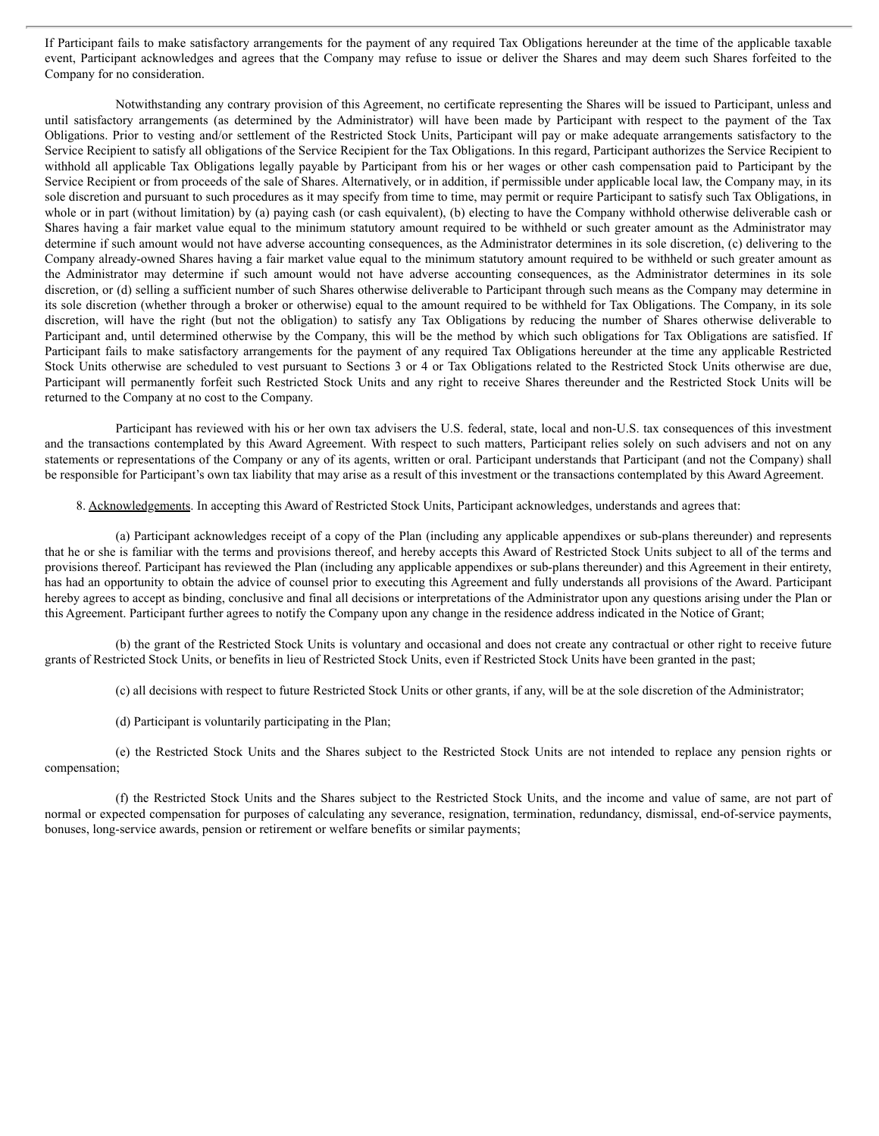If Participant fails to make satisfactory arrangements for the payment of any required Tax Obligations hereunder at the time of the applicable taxable event, Participant acknowledges and agrees that the Company may refuse to issue or deliver the Shares and may deem such Shares forfeited to the Company for no consideration.

Notwithstanding any contrary provision of this Agreement, no certificate representing the Shares will be issued to Participant, unless and until satisfactory arrangements (as determined by the Administrator) will have been made by Participant with respect to the payment of the Tax Obligations. Prior to vesting and/or settlement of the Restricted Stock Units, Participant will pay or make adequate arrangements satisfactory to the Service Recipient to satisfy all obligations of the Service Recipient for the Tax Obligations. In this regard, Participant authorizes the Service Recipient to withhold all applicable Tax Obligations legally payable by Participant from his or her wages or other cash compensation paid to Participant by the Service Recipient or from proceeds of the sale of Shares. Alternatively, or in addition, if permissible under applicable local law, the Company may, in its sole discretion and pursuant to such procedures as it may specify from time to time, may permit or require Participant to satisfy such Tax Obligations, in whole or in part (without limitation) by (a) paying cash (or cash equivalent), (b) electing to have the Company withhold otherwise deliverable cash or Shares having a fair market value equal to the minimum statutory amount required to be withheld or such greater amount as the Administrator may determine if such amount would not have adverse accounting consequences, as the Administrator determines in its sole discretion, (c) delivering to the Company already-owned Shares having a fair market value equal to the minimum statutory amount required to be withheld or such greater amount as the Administrator may determine if such amount would not have adverse accounting consequences, as the Administrator determines in its sole discretion, or (d) selling a sufficient number of such Shares otherwise deliverable to Participant through such means as the Company may determine in its sole discretion (whether through a broker or otherwise) equal to the amount required to be withheld for Tax Obligations. The Company, in its sole discretion, will have the right (but not the obligation) to satisfy any Tax Obligations by reducing the number of Shares otherwise deliverable to Participant and, until determined otherwise by the Company, this will be the method by which such obligations for Tax Obligations are satisfied. If Participant fails to make satisfactory arrangements for the payment of any required Tax Obligations hereunder at the time any applicable Restricted Stock Units otherwise are scheduled to vest pursuant to Sections 3 or 4 or Tax Obligations related to the Restricted Stock Units otherwise are due, Participant will permanently forfeit such Restricted Stock Units and any right to receive Shares thereunder and the Restricted Stock Units will be returned to the Company at no cost to the Company.

Participant has reviewed with his or her own tax advisers the U.S. federal, state, local and non-U.S. tax consequences of this investment and the transactions contemplated by this Award Agreement. With respect to such matters, Participant relies solely on such advisers and not on any statements or representations of the Company or any of its agents, written or oral. Participant understands that Participant (and not the Company) shall be responsible for Participant's own tax liability that may arise as a result of this investment or the transactions contemplated by this Award Agreement.

8. Acknowledgements. In accepting this Award of Restricted Stock Units, Participant acknowledges, understands and agrees that:

(a) Participant acknowledges receipt of a copy of the Plan (including any applicable appendixes or sub-plans thereunder) and represents that he or she is familiar with the terms and provisions thereof, and hereby accepts this Award of Restricted Stock Units subject to all of the terms and provisions thereof. Participant has reviewed the Plan (including any applicable appendixes or sub-plans thereunder) and this Agreement in their entirety, has had an opportunity to obtain the advice of counsel prior to executing this Agreement and fully understands all provisions of the Award. Participant hereby agrees to accept as binding, conclusive and final all decisions or interpretations of the Administrator upon any questions arising under the Plan or this Agreement. Participant further agrees to notify the Company upon any change in the residence address indicated in the Notice of Grant;

(b) the grant of the Restricted Stock Units is voluntary and occasional and does not create any contractual or other right to receive future grants of Restricted Stock Units, or benefits in lieu of Restricted Stock Units, even if Restricted Stock Units have been granted in the past;

(c) all decisions with respect to future Restricted Stock Units or other grants, if any, will be at the sole discretion of the Administrator;

(d) Participant is voluntarily participating in the Plan;

(e) the Restricted Stock Units and the Shares subject to the Restricted Stock Units are not intended to replace any pension rights or compensation;

(f) the Restricted Stock Units and the Shares subject to the Restricted Stock Units, and the income and value of same, are not part of normal or expected compensation for purposes of calculating any severance, resignation, termination, redundancy, dismissal, end-of-service payments, bonuses, long-service awards, pension or retirement or welfare benefits or similar payments;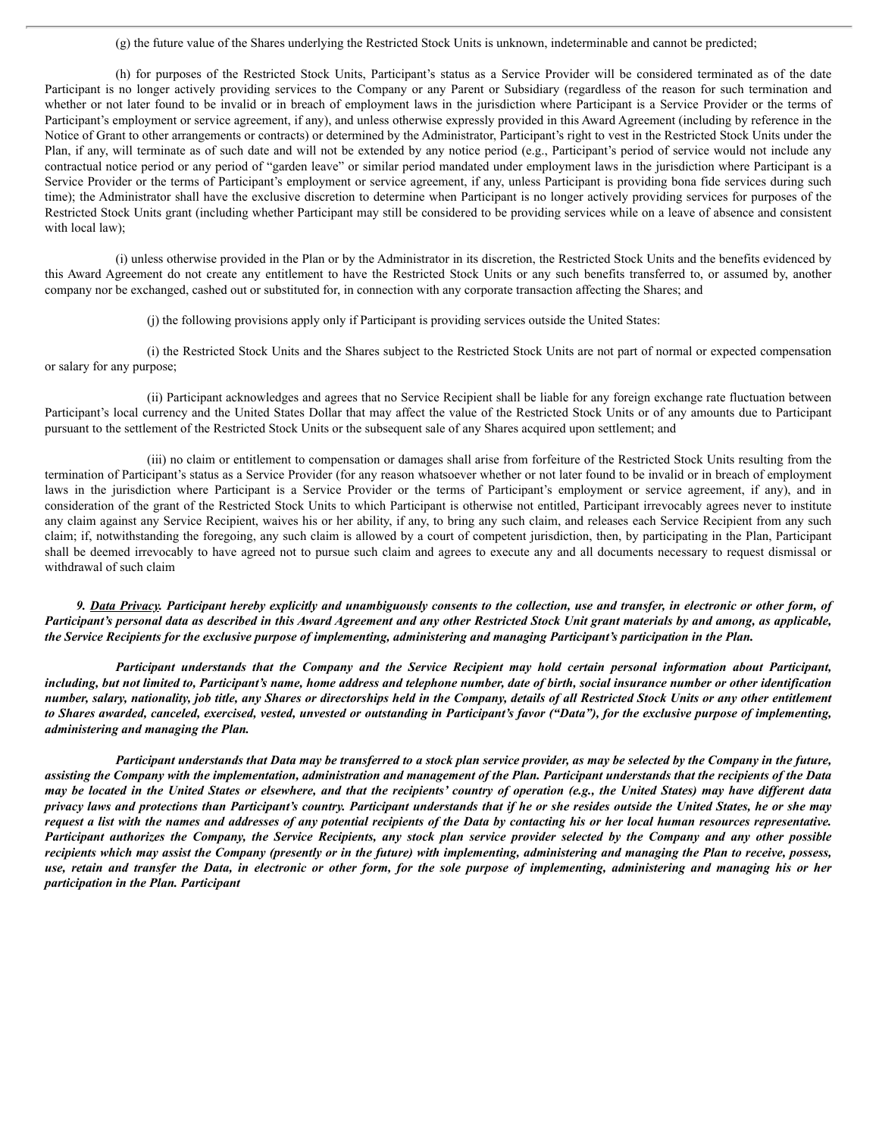(g) the future value of the Shares underlying the Restricted Stock Units is unknown, indeterminable and cannot be predicted;

(h) for purposes of the Restricted Stock Units, Participant's status as a Service Provider will be considered terminated as of the date Participant is no longer actively providing services to the Company or any Parent or Subsidiary (regardless of the reason for such termination and whether or not later found to be invalid or in breach of employment laws in the jurisdiction where Participant is a Service Provider or the terms of Participant's employment or service agreement, if any), and unless otherwise expressly provided in this Award Agreement (including by reference in the Notice of Grant to other arrangements or contracts) or determined by the Administrator, Participant's right to vest in the Restricted Stock Units under the Plan, if any, will terminate as of such date and will not be extended by any notice period (e.g., Participant's period of service would not include any contractual notice period or any period of "garden leave" or similar period mandated under employment laws in the jurisdiction where Participant is a Service Provider or the terms of Participant's employment or service agreement, if any, unless Participant is providing bona fide services during such time); the Administrator shall have the exclusive discretion to determine when Participant is no longer actively providing services for purposes of the Restricted Stock Units grant (including whether Participant may still be considered to be providing services while on a leave of absence and consistent with local law);

(i) unless otherwise provided in the Plan or by the Administrator in its discretion, the Restricted Stock Units and the benefits evidenced by this Award Agreement do not create any entitlement to have the Restricted Stock Units or any such benefits transferred to, or assumed by, another company nor be exchanged, cashed out or substituted for, in connection with any corporate transaction affecting the Shares; and

(j) the following provisions apply only if Participant is providing services outside the United States:

(i) the Restricted Stock Units and the Shares subject to the Restricted Stock Units are not part of normal or expected compensation or salary for any purpose;

(ii) Participant acknowledges and agrees that no Service Recipient shall be liable for any foreign exchange rate fluctuation between Participant's local currency and the United States Dollar that may affect the value of the Restricted Stock Units or of any amounts due to Participant pursuant to the settlement of the Restricted Stock Units or the subsequent sale of any Shares acquired upon settlement; and

(iii) no claim or entitlement to compensation or damages shall arise from forfeiture of the Restricted Stock Units resulting from the termination of Participant's status as a Service Provider (for any reason whatsoever whether or not later found to be invalid or in breach of employment laws in the jurisdiction where Participant is a Service Provider or the terms of Participant's employment or service agreement, if any), and in consideration of the grant of the Restricted Stock Units to which Participant is otherwise not entitled, Participant irrevocably agrees never to institute any claim against any Service Recipient, waives his or her ability, if any, to bring any such claim, and releases each Service Recipient from any such claim; if, notwithstanding the foregoing, any such claim is allowed by a court of competent jurisdiction, then, by participating in the Plan, Participant shall be deemed irrevocably to have agreed not to pursue such claim and agrees to execute any and all documents necessary to request dismissal or withdrawal of such claim

9. Data Privacy. Participant hereby explicitly and unambiguously consents to the collection, use and transfer, in electronic or other form, of Participant's personal data as described in this Award Agreement and any other Restricted Stock Unit grant materials by and among, as applicable, the Service Recipients for the exclusive purpose of implementing, administering and managing Participant's participation in the Plan.

Participant understands that the Company and the Service Recipient may hold certain personal information about Participant, including, but not limited to, Participant's name, home address and telephone number, date of birth, social insurance number or other identification number, salary, nationality, job title, any Shares or directorships held in the Company, details of all Restricted Stock Units or any other entitlement to Shares awarded, canceled, exercised, vested, unvested or outstanding in Participant's favor ("Data"), for the exclusive purpose of implementing, *administering and managing the Plan.*

Participant understands that Data may be transferred to a stock plan service provider, as may be selected by the Company in the future, assisting the Company with the implementation, administration and management of the Plan. Participant understands that the recipients of the Data may be located in the United States or elsewhere, and that the recipients' country of operation (e.g., the United States) may have different data privacy laws and protections than Participant's country. Participant understands that if he or she resides outside the United States, he or she may request a list with the names and addresses of any potential recipients of the Data by contacting his or her local human resources representative. Participant authorizes the Company, the Service Recipients, any stock plan service provider selected by the Company and any other possible recipients which may assist the Company (presently or in the future) with implementing, administering and managing the Plan to receive, possess, use, retain and transfer the Data, in electronic or other form, for the sole purpose of implementing, administering and managing his or her *participation in the Plan. Participant*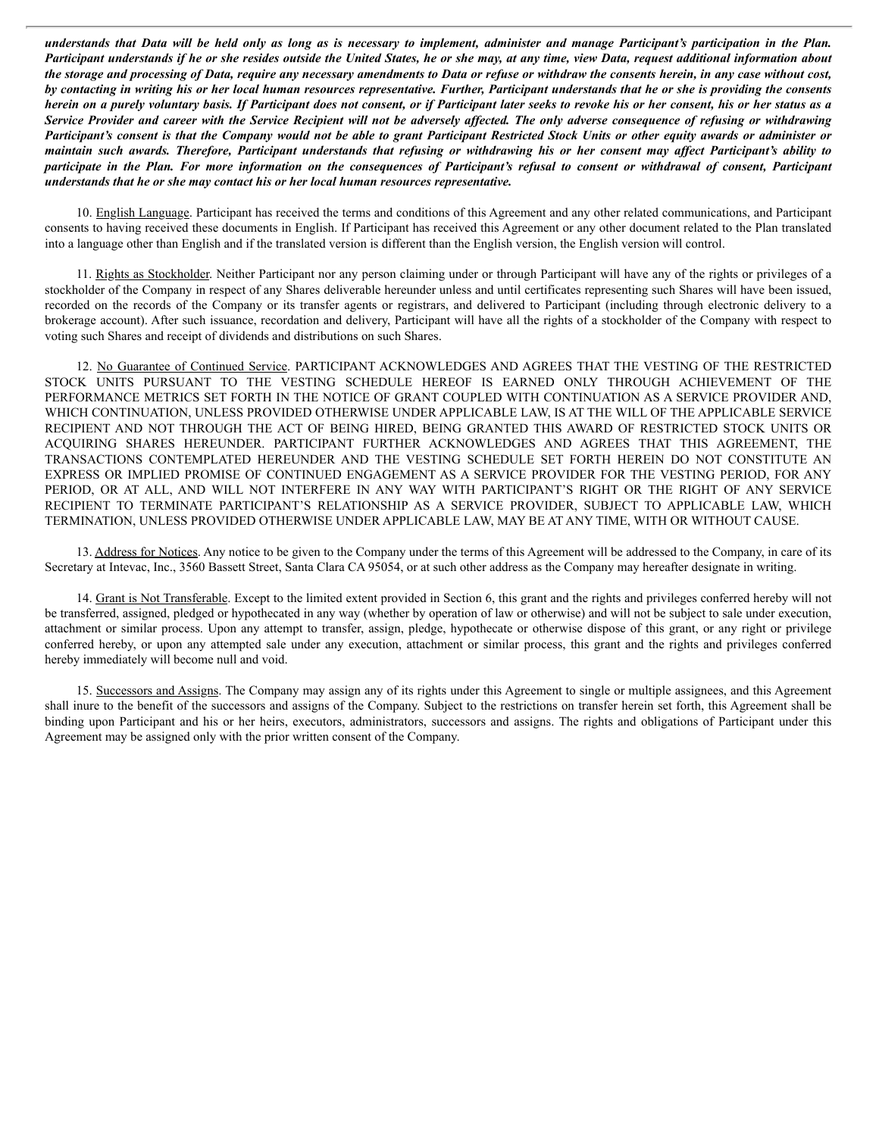understands that Data will be held only as long as is necessary to implement, administer and manage Participant's participation in the Plan. Participant understands if he or she resides outside the United States, he or she may, at any time, view Data, request additional information about the storage and processing of Data, require any necessary amendments to Data or refuse or withdraw the consents herein, in any case without cost, by contacting in writing his or her local human resources representative. Further, Participant understands that he or she is providing the consents herein on a purely voluntary basis. If Participant does not consent, or if Participant later seeks to revoke his or her consent, his or her status as a Service Provider and career with the Service Recipient will not be adversely affected. The only adverse consequence of refusing or withdrawing Participant's consent is that the Company would not be able to grant Participant Restricted Stock Units or other equity awards or administer or maintain such awards. Therefore, Participant understands that refusing or withdrawing his or her consent may affect Participant's ability to participate in the Plan. For more information on the consequences of Participant's refusal to consent or withdrawal of consent, Participant *understands that he or she may contact his or her local human resources representative.*

10. English Language. Participant has received the terms and conditions of this Agreement and any other related communications, and Participant consents to having received these documents in English. If Participant has received this Agreement or any other document related to the Plan translated into a language other than English and if the translated version is different than the English version, the English version will control.

11. Rights as Stockholder. Neither Participant nor any person claiming under or through Participant will have any of the rights or privileges of a stockholder of the Company in respect of any Shares deliverable hereunder unless and until certificates representing such Shares will have been issued, recorded on the records of the Company or its transfer agents or registrars, and delivered to Participant (including through electronic delivery to a brokerage account). After such issuance, recordation and delivery, Participant will have all the rights of a stockholder of the Company with respect to voting such Shares and receipt of dividends and distributions on such Shares.

12. No Guarantee of Continued Service. PARTICIPANT ACKNOWLEDGES AND AGREES THAT THE VESTING OF THE RESTRICTED STOCK UNITS PURSUANT TO THE VESTING SCHEDULE HEREOF IS EARNED ONLY THROUGH ACHIEVEMENT OF THE PERFORMANCE METRICS SET FORTH IN THE NOTICE OF GRANT COUPLED WITH CONTINUATION AS A SERVICE PROVIDER AND, WHICH CONTINUATION, UNLESS PROVIDED OTHERWISE UNDER APPLICABLE LAW, IS AT THE WILL OF THE APPLICABLE SERVICE RECIPIENT AND NOT THROUGH THE ACT OF BEING HIRED, BEING GRANTED THIS AWARD OF RESTRICTED STOCK UNITS OR ACQUIRING SHARES HEREUNDER. PARTICIPANT FURTHER ACKNOWLEDGES AND AGREES THAT THIS AGREEMENT, THE TRANSACTIONS CONTEMPLATED HEREUNDER AND THE VESTING SCHEDULE SET FORTH HEREIN DO NOT CONSTITUTE AN EXPRESS OR IMPLIED PROMISE OF CONTINUED ENGAGEMENT AS A SERVICE PROVIDER FOR THE VESTING PERIOD, FOR ANY PERIOD, OR AT ALL, AND WILL NOT INTERFERE IN ANY WAY WITH PARTICIPANT'S RIGHT OR THE RIGHT OF ANY SERVICE RECIPIENT TO TERMINATE PARTICIPANT'S RELATIONSHIP AS A SERVICE PROVIDER, SUBJECT TO APPLICABLE LAW, WHICH TERMINATION, UNLESS PROVIDED OTHERWISE UNDER APPLICABLE LAW, MAY BE AT ANY TIME, WITH OR WITHOUT CAUSE.

13. Address for Notices. Any notice to be given to the Company under the terms of this Agreement will be addressed to the Company, in care of its Secretary at Intevac, Inc., 3560 Bassett Street, Santa Clara CA 95054, or at such other address as the Company may hereafter designate in writing.

14. Grant is Not Transferable. Except to the limited extent provided in Section 6, this grant and the rights and privileges conferred hereby will not be transferred, assigned, pledged or hypothecated in any way (whether by operation of law or otherwise) and will not be subject to sale under execution, attachment or similar process. Upon any attempt to transfer, assign, pledge, hypothecate or otherwise dispose of this grant, or any right or privilege conferred hereby, or upon any attempted sale under any execution, attachment or similar process, this grant and the rights and privileges conferred hereby immediately will become null and void.

15. Successors and Assigns. The Company may assign any of its rights under this Agreement to single or multiple assignees, and this Agreement shall inure to the benefit of the successors and assigns of the Company. Subject to the restrictions on transfer herein set forth, this Agreement shall be binding upon Participant and his or her heirs, executors, administrators, successors and assigns. The rights and obligations of Participant under this Agreement may be assigned only with the prior written consent of the Company.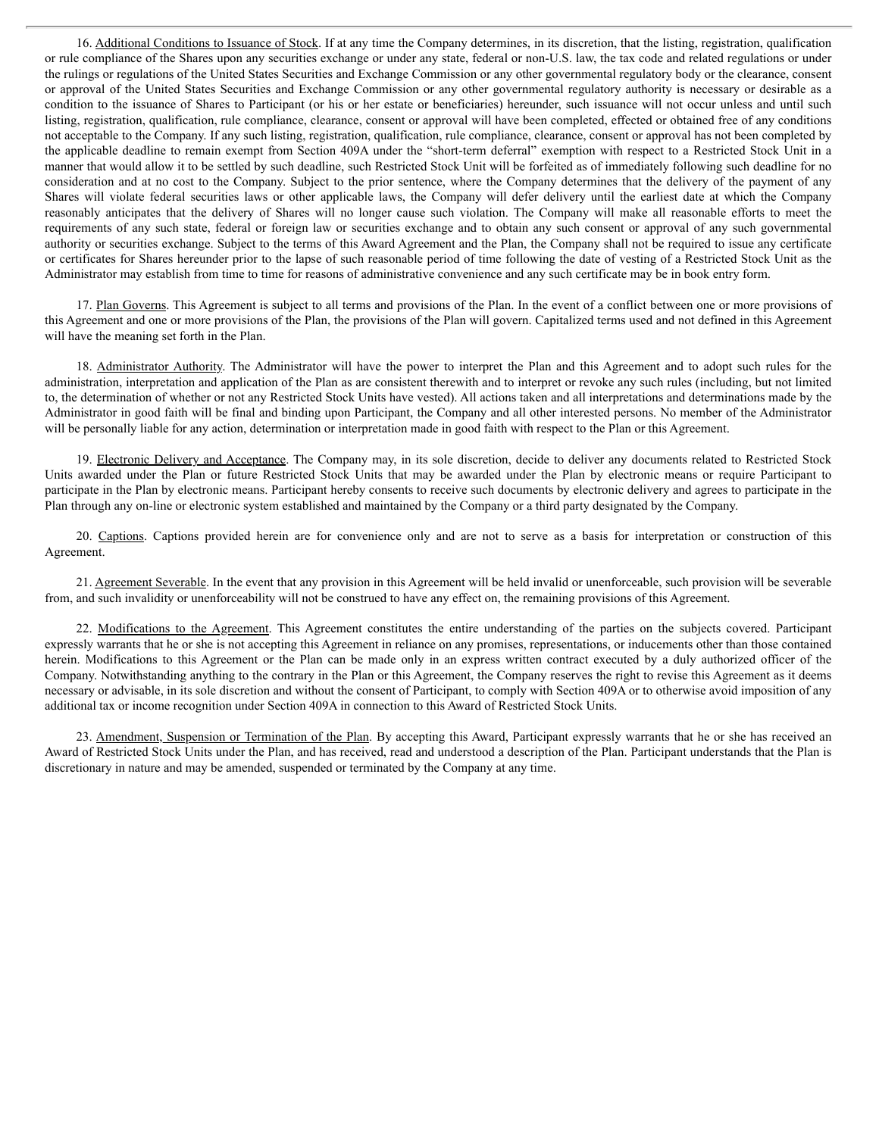16. Additional Conditions to Issuance of Stock. If at any time the Company determines, in its discretion, that the listing, registration, qualification or rule compliance of the Shares upon any securities exchange or under any state, federal or non-U.S. law, the tax code and related regulations or under the rulings or regulations of the United States Securities and Exchange Commission or any other governmental regulatory body or the clearance, consent or approval of the United States Securities and Exchange Commission or any other governmental regulatory authority is necessary or desirable as a condition to the issuance of Shares to Participant (or his or her estate or beneficiaries) hereunder, such issuance will not occur unless and until such listing, registration, qualification, rule compliance, clearance, consent or approval will have been completed, effected or obtained free of any conditions not acceptable to the Company. If any such listing, registration, qualification, rule compliance, clearance, consent or approval has not been completed by the applicable deadline to remain exempt from Section 409A under the "short-term deferral" exemption with respect to a Restricted Stock Unit in a manner that would allow it to be settled by such deadline, such Restricted Stock Unit will be forfeited as of immediately following such deadline for no consideration and at no cost to the Company. Subject to the prior sentence, where the Company determines that the delivery of the payment of any Shares will violate federal securities laws or other applicable laws, the Company will defer delivery until the earliest date at which the Company reasonably anticipates that the delivery of Shares will no longer cause such violation. The Company will make all reasonable efforts to meet the requirements of any such state, federal or foreign law or securities exchange and to obtain any such consent or approval of any such governmental authority or securities exchange. Subject to the terms of this Award Agreement and the Plan, the Company shall not be required to issue any certificate or certificates for Shares hereunder prior to the lapse of such reasonable period of time following the date of vesting of a Restricted Stock Unit as the Administrator may establish from time to time for reasons of administrative convenience and any such certificate may be in book entry form.

17. Plan Governs. This Agreement is subject to all terms and provisions of the Plan. In the event of a conflict between one or more provisions of this Agreement and one or more provisions of the Plan, the provisions of the Plan will govern. Capitalized terms used and not defined in this Agreement will have the meaning set forth in the Plan.

18. Administrator Authority. The Administrator will have the power to interpret the Plan and this Agreement and to adopt such rules for the administration, interpretation and application of the Plan as are consistent therewith and to interpret or revoke any such rules (including, but not limited to, the determination of whether or not any Restricted Stock Units have vested). All actions taken and all interpretations and determinations made by the Administrator in good faith will be final and binding upon Participant, the Company and all other interested persons. No member of the Administrator will be personally liable for any action, determination or interpretation made in good faith with respect to the Plan or this Agreement.

19. Electronic Delivery and Acceptance. The Company may, in its sole discretion, decide to deliver any documents related to Restricted Stock Units awarded under the Plan or future Restricted Stock Units that may be awarded under the Plan by electronic means or require Participant to participate in the Plan by electronic means. Participant hereby consents to receive such documents by electronic delivery and agrees to participate in the Plan through any on-line or electronic system established and maintained by the Company or a third party designated by the Company.

20. Captions. Captions provided herein are for convenience only and are not to serve as a basis for interpretation or construction of this Agreement.

21. Agreement Severable. In the event that any provision in this Agreement will be held invalid or unenforceable, such provision will be severable from, and such invalidity or unenforceability will not be construed to have any effect on, the remaining provisions of this Agreement.

22. Modifications to the Agreement. This Agreement constitutes the entire understanding of the parties on the subjects covered. Participant expressly warrants that he or she is not accepting this Agreement in reliance on any promises, representations, or inducements other than those contained herein. Modifications to this Agreement or the Plan can be made only in an express written contract executed by a duly authorized officer of the Company. Notwithstanding anything to the contrary in the Plan or this Agreement, the Company reserves the right to revise this Agreement as it deems necessary or advisable, in its sole discretion and without the consent of Participant, to comply with Section 409A or to otherwise avoid imposition of any additional tax or income recognition under Section 409A in connection to this Award of Restricted Stock Units.

23. Amendment, Suspension or Termination of the Plan. By accepting this Award, Participant expressly warrants that he or she has received an Award of Restricted Stock Units under the Plan, and has received, read and understood a description of the Plan. Participant understands that the Plan is discretionary in nature and may be amended, suspended or terminated by the Company at any time.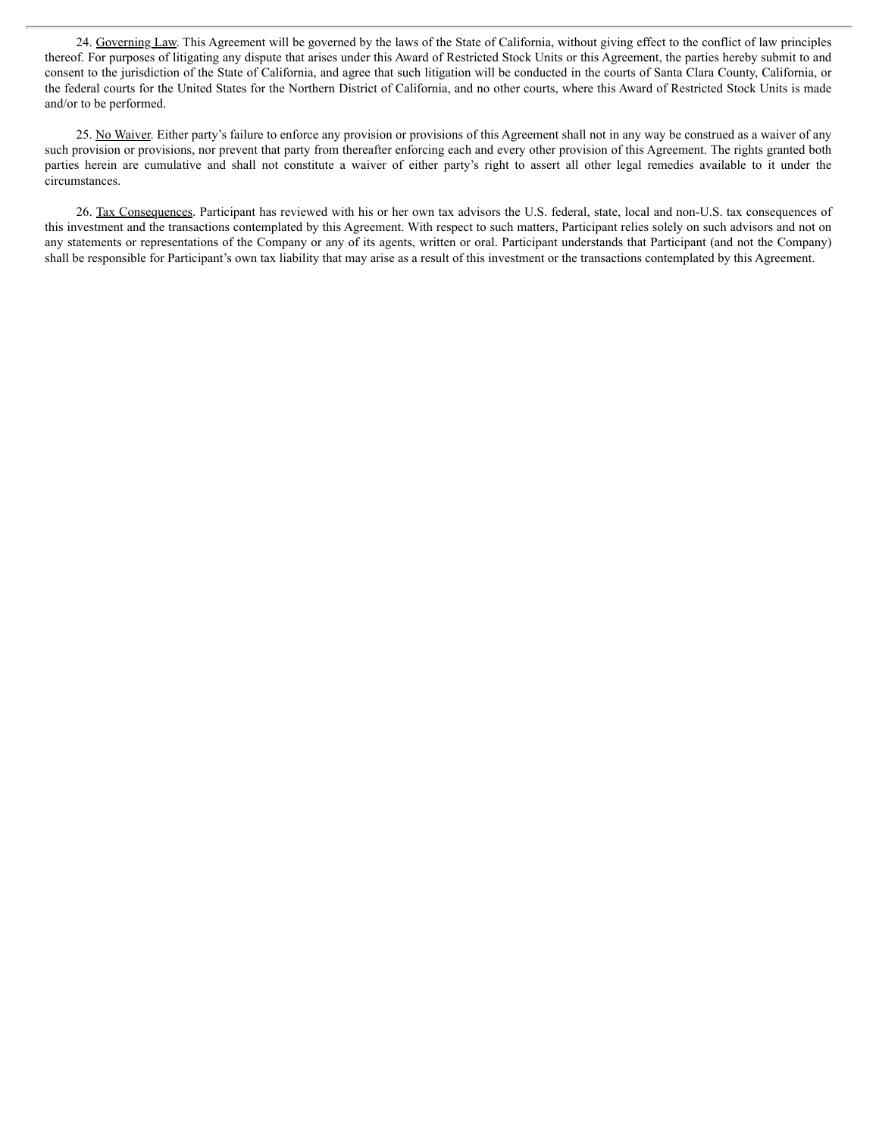24. Governing Law. This Agreement will be governed by the laws of the State of California, without giving effect to the conflict of law principles thereof. For purposes of litigating any dispute that arises under this Award of Restricted Stock Units or this Agreement, the parties hereby submit to and consent to the jurisdiction of the State of California, and agree that such litigation will be conducted in the courts of Santa Clara County, California, or the federal courts for the United States for the Northern District of California, and no other courts, where this Award of Restricted Stock Units is made and/or to be performed.

25. No Waiver. Either party's failure to enforce any provision or provisions of this Agreement shall not in any way be construed as a waiver of any such provision or provisions, nor prevent that party from thereafter enforcing each and every other provision of this Agreement. The rights granted both parties herein are cumulative and shall not constitute a waiver of either party's right to assert all other legal remedies available to it under the circumstances.

26. Tax Consequences. Participant has reviewed with his or her own tax advisors the U.S. federal, state, local and non-U.S. tax consequences of this investment and the transactions contemplated by this Agreement. With respect to such matters, Participant relies solely on such advisors and not on any statements or representations of the Company or any of its agents, written or oral. Participant understands that Participant (and not the Company) shall be responsible for Participant's own tax liability that may arise as a result of this investment or the transactions contemplated by this Agreement.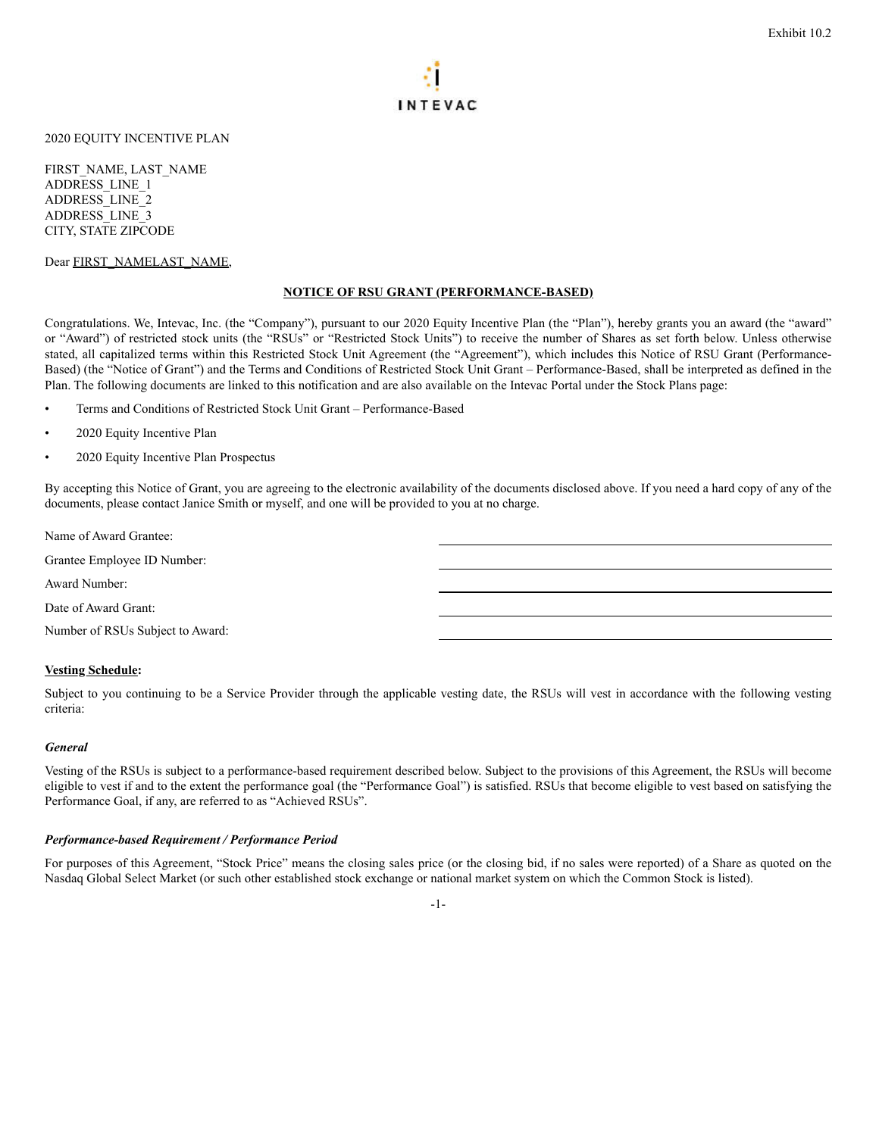

#### <span id="page-14-0"></span>2020 EQUITY INCENTIVE PLAN

FIRST\_NAME, LAST\_NAME ADDRESS\_LINE\_1 ADDRESS\_LINE\_2 ADDRESS\_LINE\_3 CITY, STATE ZIPCODE

#### Dear FIRST\_NAMELAST\_NAME,

#### **NOTICE OF RSU GRANT (PERFORMANCE-BASED)**

Congratulations. We, Intevac, Inc. (the "Company"), pursuant to our 2020 Equity Incentive Plan (the "Plan"), hereby grants you an award (the "award" or "Award") of restricted stock units (the "RSUs" or "Restricted Stock Units") to receive the number of Shares as set forth below. Unless otherwise stated, all capitalized terms within this Restricted Stock Unit Agreement (the "Agreement"), which includes this Notice of RSU Grant (Performance-Based) (the "Notice of Grant") and the Terms and Conditions of Restricted Stock Unit Grant – Performance-Based, shall be interpreted as defined in the Plan. The following documents are linked to this notification and are also available on the Intevac Portal under the Stock Plans page:

- Terms and Conditions of Restricted Stock Unit Grant Performance-Based
- 2020 Equity Incentive Plan
- 2020 Equity Incentive Plan Prospectus

By accepting this Notice of Grant, you are agreeing to the electronic availability of the documents disclosed above. If you need a hard copy of any of the documents, please contact Janice Smith or myself, and one will be provided to you at no charge.

Name of Award Grantee:

Grantee Employee ID Number:

Award Number:

Date of Award Grant:

Number of RSUs Subject to Award:

#### **Vesting Schedule:**

Subject to you continuing to be a Service Provider through the applicable vesting date, the RSUs will vest in accordance with the following vesting criteria:

#### *General*

Vesting of the RSUs is subject to a performance-based requirement described below. Subject to the provisions of this Agreement, the RSUs will become eligible to vest if and to the extent the performance goal (the "Performance Goal") is satisfied. RSUs that become eligible to vest based on satisfying the Performance Goal, if any, are referred to as "Achieved RSUs".

#### *Performance-based Requirement / Performance Period*

For purposes of this Agreement, "Stock Price" means the closing sales price (or the closing bid, if no sales were reported) of a Share as quoted on the Nasdaq Global Select Market (or such other established stock exchange or national market system on which the Common Stock is listed).

-1-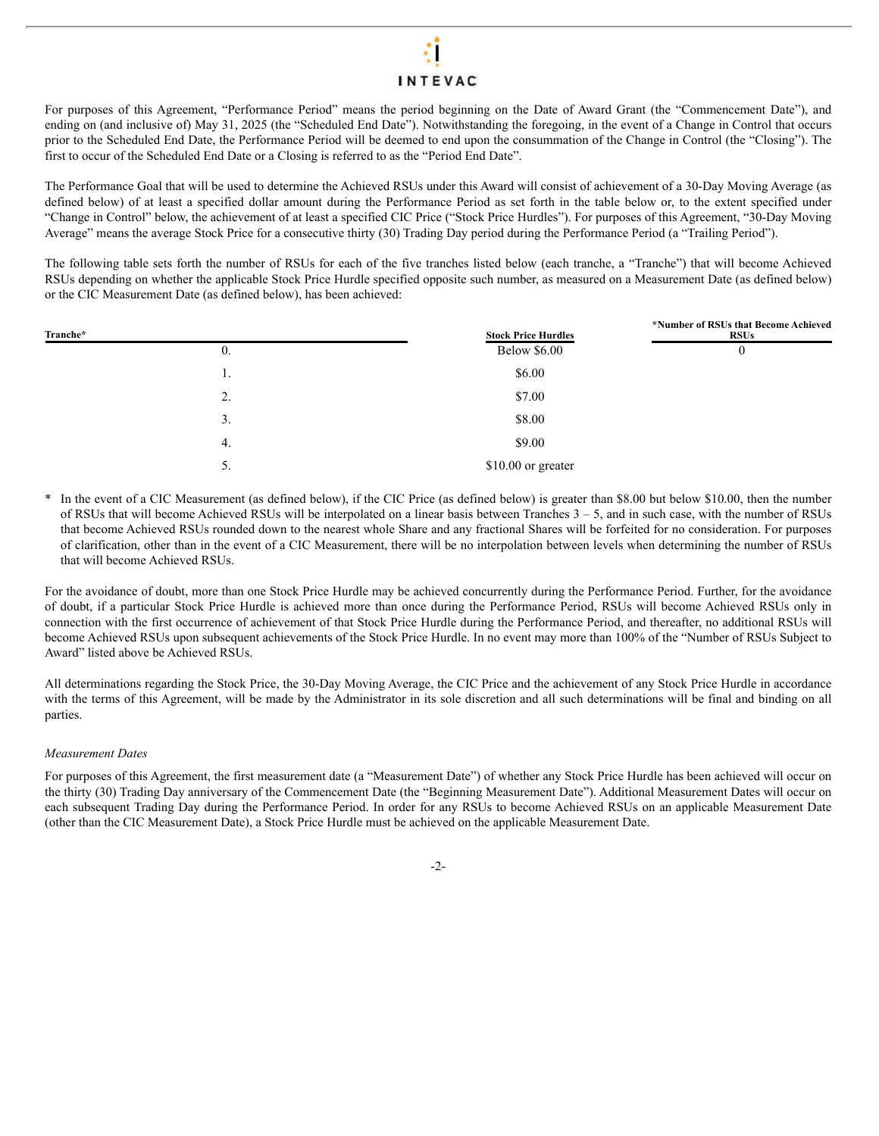## **INTEVAC**

For purposes of this Agreement, "Performance Period" means the period beginning on the Date of Award Grant (the "Commencement Date"), and ending on (and inclusive of) May 31, 2025 (the "Scheduled End Date"). Notwithstanding the foregoing, in the event of a Change in Control that occurs prior to the Scheduled End Date, the Performance Period will be deemed to end upon the consummation of the Change in Control (the "Closing"). The first to occur of the Scheduled End Date or a Closing is referred to as the "Period End Date".

The Performance Goal that will be used to determine the Achieved RSUs under this Award will consist of achievement of a 30-Day Moving Average (as defined below) of at least a specified dollar amount during the Performance Period as set forth in the table below or, to the extent specified under "Change in Control" below, the achievement of at least a specified CIC Price ("Stock Price Hurdles"). For purposes of this Agreement, "30-Day Moving Average" means the average Stock Price for a consecutive thirty (30) Trading Day period during the Performance Period (a "Trailing Period").

The following table sets forth the number of RSUs for each of the five tranches listed below (each tranche, a "Tranche") that will become Achieved RSUs depending on whether the applicable Stock Price Hurdle specified opposite such number, as measured on a Measurement Date (as defined below) or the CIC Measurement Date (as defined below), has been achieved:

| Tranche* |            | <b>Stock Price Hurdles</b> | *Number of RSUs that Become Achieved<br><b>RSUs</b> |
|----------|------------|----------------------------|-----------------------------------------------------|
|          | $\theta$ . | <b>Below \$6.00</b>        | 0                                                   |
|          | 1.         | \$6.00                     |                                                     |
|          | 2.         | \$7.00                     |                                                     |
|          | 3.         | \$8.00                     |                                                     |
|          | 4.         | \$9.00                     |                                                     |
|          | 5.         | \$10.00 or greater         |                                                     |
|          |            |                            |                                                     |

In the event of a CIC Measurement (as defined below), if the CIC Price (as defined below) is greater than \$8.00 but below \$10.00, then the number of RSUs that will become Achieved RSUs will be interpolated on a linear basis between Tranches  $3 - 5$ , and in such case, with the number of RSUs that become Achieved RSUs rounded down to the nearest whole Share and any fractional Shares will be forfeited for no consideration. For purposes of clarification, other than in the event of a CIC Measurement, there will be no interpolation between levels when determining the number of RSUs that will become Achieved RSUs.

For the avoidance of doubt, more than one Stock Price Hurdle may be achieved concurrently during the Performance Period. Further, for the avoidance of doubt, if a particular Stock Price Hurdle is achieved more than once during the Performance Period, RSUs will become Achieved RSUs only in connection with the first occurrence of achievement of that Stock Price Hurdle during the Performance Period, and thereafter, no additional RSUs will become Achieved RSUs upon subsequent achievements of the Stock Price Hurdle. In no event may more than 100% of the "Number of RSUs Subject to Award" listed above be Achieved RSUs.

All determinations regarding the Stock Price, the 30-Day Moving Average, the CIC Price and the achievement of any Stock Price Hurdle in accordance with the terms of this Agreement, will be made by the Administrator in its sole discretion and all such determinations will be final and binding on all parties.

#### *Measurement Dates*

For purposes of this Agreement, the first measurement date (a "Measurement Date") of whether any Stock Price Hurdle has been achieved will occur on the thirty (30) Trading Day anniversary of the Commencement Date (the "Beginning Measurement Date"). Additional Measurement Dates will occur on each subsequent Trading Day during the Performance Period. In order for any RSUs to become Achieved RSUs on an applicable Measurement Date (other than the CIC Measurement Date), a Stock Price Hurdle must be achieved on the applicable Measurement Date.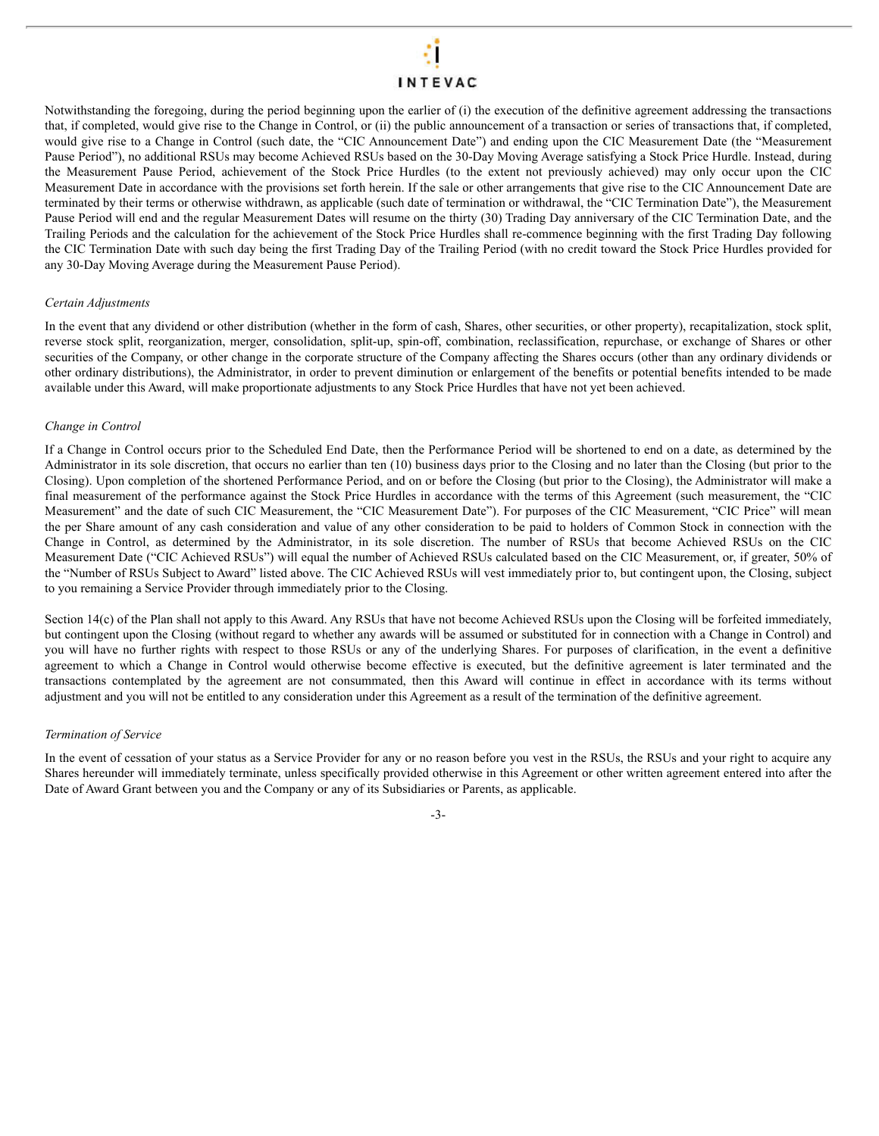## **INTEVAC**

Notwithstanding the foregoing, during the period beginning upon the earlier of (i) the execution of the definitive agreement addressing the transactions that, if completed, would give rise to the Change in Control, or (ii) the public announcement of a transaction or series of transactions that, if completed, would give rise to a Change in Control (such date, the "CIC Announcement Date") and ending upon the CIC Measurement Date (the "Measurement Pause Period"), no additional RSUs may become Achieved RSUs based on the 30-Day Moving Average satisfying a Stock Price Hurdle. Instead, during the Measurement Pause Period, achievement of the Stock Price Hurdles (to the extent not previously achieved) may only occur upon the CIC Measurement Date in accordance with the provisions set forth herein. If the sale or other arrangements that give rise to the CIC Announcement Date are terminated by their terms or otherwise withdrawn, as applicable (such date of termination or withdrawal, the "CIC Termination Date"), the Measurement Pause Period will end and the regular Measurement Dates will resume on the thirty (30) Trading Day anniversary of the CIC Termination Date, and the Trailing Periods and the calculation for the achievement of the Stock Price Hurdles shall re-commence beginning with the first Trading Day following the CIC Termination Date with such day being the first Trading Day of the Trailing Period (with no credit toward the Stock Price Hurdles provided for any 30-Day Moving Average during the Measurement Pause Period).

#### *Certain Adjustments*

In the event that any dividend or other distribution (whether in the form of cash, Shares, other securities, or other property), recapitalization, stock split, reverse stock split, reorganization, merger, consolidation, split-up, spin-off, combination, reclassification, repurchase, or exchange of Shares or other securities of the Company, or other change in the corporate structure of the Company affecting the Shares occurs (other than any ordinary dividends or other ordinary distributions), the Administrator, in order to prevent diminution or enlargement of the benefits or potential benefits intended to be made available under this Award, will make proportionate adjustments to any Stock Price Hurdles that have not yet been achieved.

#### *Change in Control*

If a Change in Control occurs prior to the Scheduled End Date, then the Performance Period will be shortened to end on a date, as determined by the Administrator in its sole discretion, that occurs no earlier than ten (10) business days prior to the Closing and no later than the Closing (but prior to the Closing). Upon completion of the shortened Performance Period, and on or before the Closing (but prior to the Closing), the Administrator will make a final measurement of the performance against the Stock Price Hurdles in accordance with the terms of this Agreement (such measurement, the "CIC Measurement" and the date of such CIC Measurement, the "CIC Measurement Date"). For purposes of the CIC Measurement, "CIC Price" will mean the per Share amount of any cash consideration and value of any other consideration to be paid to holders of Common Stock in connection with the Change in Control, as determined by the Administrator, in its sole discretion. The number of RSUs that become Achieved RSUs on the CIC Measurement Date ("CIC Achieved RSUs") will equal the number of Achieved RSUs calculated based on the CIC Measurement, or, if greater, 50% of the "Number of RSUs Subject to Award" listed above. The CIC Achieved RSUs will vest immediately prior to, but contingent upon, the Closing, subject to you remaining a Service Provider through immediately prior to the Closing.

Section 14(c) of the Plan shall not apply to this Award. Any RSUs that have not become Achieved RSUs upon the Closing will be forfeited immediately, but contingent upon the Closing (without regard to whether any awards will be assumed or substituted for in connection with a Change in Control) and you will have no further rights with respect to those RSUs or any of the underlying Shares. For purposes of clarification, in the event a definitive agreement to which a Change in Control would otherwise become effective is executed, but the definitive agreement is later terminated and the transactions contemplated by the agreement are not consummated, then this Award will continue in effect in accordance with its terms without adjustment and you will not be entitled to any consideration under this Agreement as a result of the termination of the definitive agreement.

#### *Termination of Service*

In the event of cessation of your status as a Service Provider for any or no reason before you vest in the RSUs, the RSUs and your right to acquire any Shares hereunder will immediately terminate, unless specifically provided otherwise in this Agreement or other written agreement entered into after the Date of Award Grant between you and the Company or any of its Subsidiaries or Parents, as applicable.

#### -3-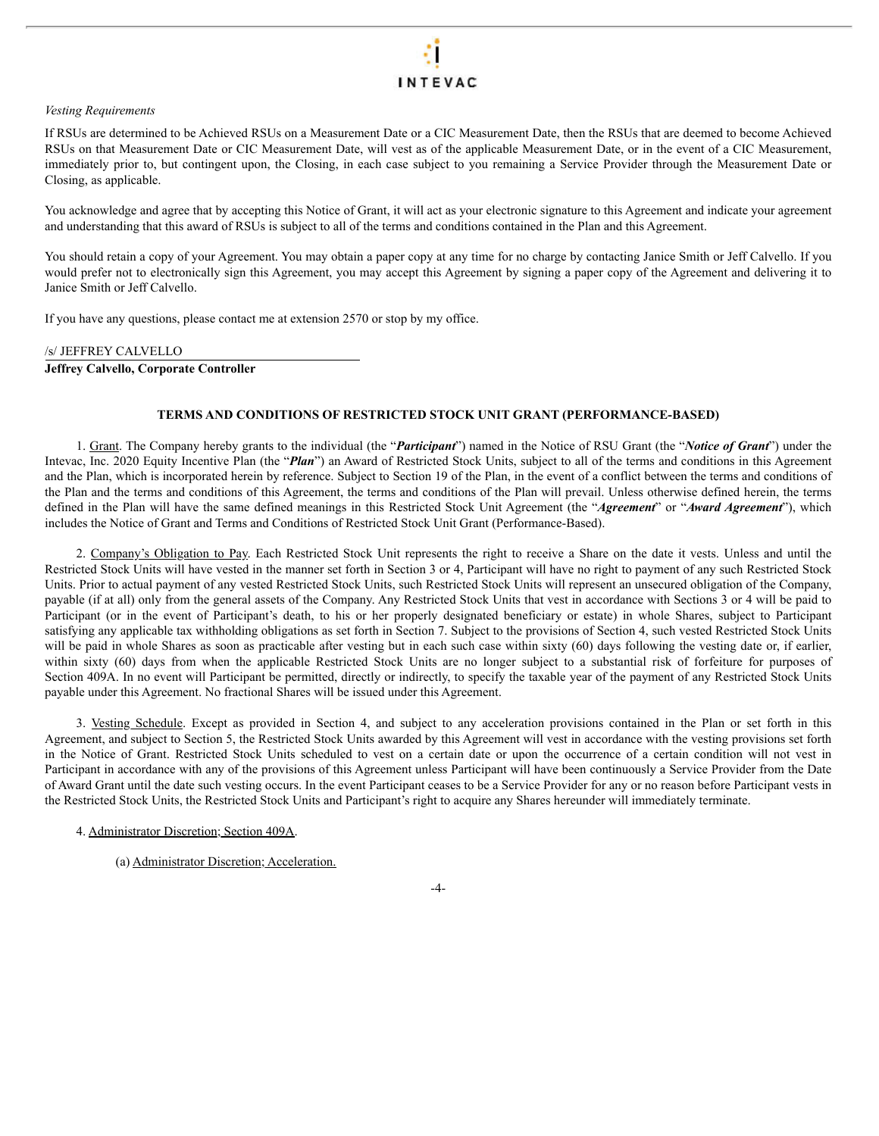#### *Vesting Requirements*

If RSUs are determined to be Achieved RSUs on a Measurement Date or a CIC Measurement Date, then the RSUs that are deemed to become Achieved RSUs on that Measurement Date or CIC Measurement Date, will vest as of the applicable Measurement Date, or in the event of a CIC Measurement, immediately prior to, but contingent upon, the Closing, in each case subject to you remaining a Service Provider through the Measurement Date or Closing, as applicable.

You acknowledge and agree that by accepting this Notice of Grant, it will act as your electronic signature to this Agreement and indicate your agreement and understanding that this award of RSUs is subject to all of the terms and conditions contained in the Plan and this Agreement.

You should retain a copy of your Agreement. You may obtain a paper copy at any time for no charge by contacting Janice Smith or Jeff Calvello. If you would prefer not to electronically sign this Agreement, you may accept this Agreement by signing a paper copy of the Agreement and delivering it to Janice Smith or Jeff Calvello.

If you have any questions, please contact me at extension 2570 or stop by my office.

#### /s/ JEFFREY CALVELLO

**Jeffrey Calvello, Corporate Controller**

#### **TERMS AND CONDITIONS OF RESTRICTED STOCK UNIT GRANT (PERFORMANCE-BASED)**

1. Grant. The Company hereby grants to the individual (the "*Participant*") named in the Notice of RSU Grant (the "*Notice of Grant*") under the Intevac, Inc. 2020 Equity Incentive Plan (the "*Plan*") an Award of Restricted Stock Units, subject to all of the terms and conditions in this Agreement and the Plan, which is incorporated herein by reference. Subject to Section 19 of the Plan, in the event of a conflict between the terms and conditions of the Plan and the terms and conditions of this Agreement, the terms and conditions of the Plan will prevail. Unless otherwise defined herein, the terms defined in the Plan will have the same defined meanings in this Restricted Stock Unit Agreement (the "*Agreement*" or "*Award Agreement*"), which includes the Notice of Grant and Terms and Conditions of Restricted Stock Unit Grant (Performance-Based).

2. Company's Obligation to Pay. Each Restricted Stock Unit represents the right to receive a Share on the date it vests. Unless and until the Restricted Stock Units will have vested in the manner set forth in Section 3 or 4, Participant will have no right to payment of any such Restricted Stock Units. Prior to actual payment of any vested Restricted Stock Units, such Restricted Stock Units will represent an unsecured obligation of the Company, payable (if at all) only from the general assets of the Company. Any Restricted Stock Units that vest in accordance with Sections 3 or 4 will be paid to Participant (or in the event of Participant's death, to his or her properly designated beneficiary or estate) in whole Shares, subject to Participant satisfying any applicable tax withholding obligations as set forth in Section 7. Subject to the provisions of Section 4, such vested Restricted Stock Units will be paid in whole Shares as soon as practicable after vesting but in each such case within sixty (60) days following the vesting date or, if earlier, within sixty (60) days from when the applicable Restricted Stock Units are no longer subject to a substantial risk of forfeiture for purposes of Section 409A. In no event will Participant be permitted, directly or indirectly, to specify the taxable year of the payment of any Restricted Stock Units payable under this Agreement. No fractional Shares will be issued under this Agreement.

3. Vesting Schedule. Except as provided in Section 4, and subject to any acceleration provisions contained in the Plan or set forth in this Agreement, and subject to Section 5, the Restricted Stock Units awarded by this Agreement will vest in accordance with the vesting provisions set forth in the Notice of Grant. Restricted Stock Units scheduled to vest on a certain date or upon the occurrence of a certain condition will not vest in Participant in accordance with any of the provisions of this Agreement unless Participant will have been continuously a Service Provider from the Date of Award Grant until the date such vesting occurs. In the event Participant ceases to be a Service Provider for any or no reason before Participant vests in the Restricted Stock Units, the Restricted Stock Units and Participant's right to acquire any Shares hereunder will immediately terminate.

4. Administrator Discretion; Section 409A.

(a) Administrator Discretion; Acceleration.

-4-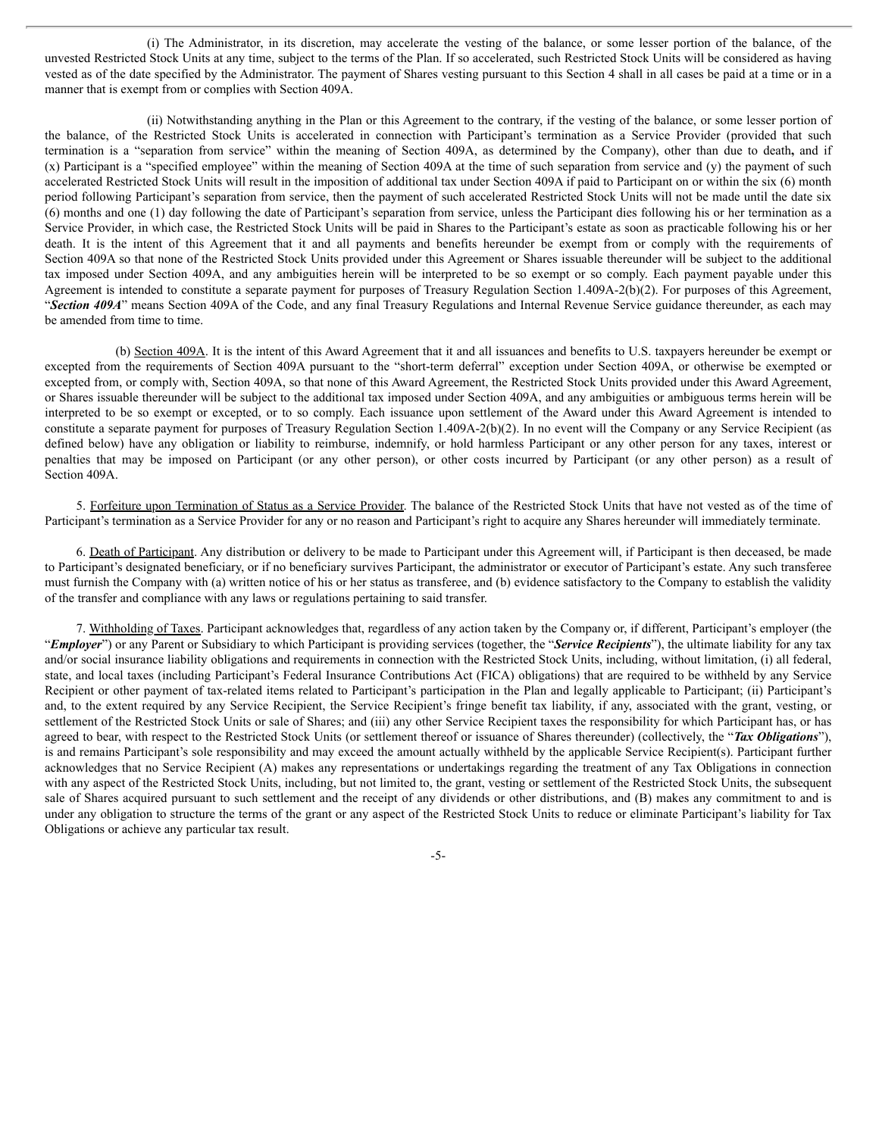(i) The Administrator, in its discretion, may accelerate the vesting of the balance, or some lesser portion of the balance, of the unvested Restricted Stock Units at any time, subject to the terms of the Plan. If so accelerated, such Restricted Stock Units will be considered as having vested as of the date specified by the Administrator. The payment of Shares vesting pursuant to this Section 4 shall in all cases be paid at a time or in a manner that is exempt from or complies with Section 409A.

(ii) Notwithstanding anything in the Plan or this Agreement to the contrary, if the vesting of the balance, or some lesser portion of the balance, of the Restricted Stock Units is accelerated in connection with Participant's termination as a Service Provider (provided that such termination is a "separation from service" within the meaning of Section 409A, as determined by the Company), other than due to death**,** and if (x) Participant is a "specified employee" within the meaning of Section 409A at the time of such separation from service and (y) the payment of such accelerated Restricted Stock Units will result in the imposition of additional tax under Section 409A if paid to Participant on or within the six (6) month period following Participant's separation from service, then the payment of such accelerated Restricted Stock Units will not be made until the date six (6) months and one (1) day following the date of Participant's separation from service, unless the Participant dies following his or her termination as a Service Provider, in which case, the Restricted Stock Units will be paid in Shares to the Participant's estate as soon as practicable following his or her death. It is the intent of this Agreement that it and all payments and benefits hereunder be exempt from or comply with the requirements of Section 409A so that none of the Restricted Stock Units provided under this Agreement or Shares issuable thereunder will be subject to the additional tax imposed under Section 409A, and any ambiguities herein will be interpreted to be so exempt or so comply. Each payment payable under this Agreement is intended to constitute a separate payment for purposes of Treasury Regulation Section 1.409A-2(b)(2). For purposes of this Agreement, "*Section 409A*" means Section 409A of the Code, and any final Treasury Regulations and Internal Revenue Service guidance thereunder, as each may be amended from time to time.

(b) Section 409A. It is the intent of this Award Agreement that it and all issuances and benefits to U.S. taxpayers hereunder be exempt or excepted from the requirements of Section 409A pursuant to the "short-term deferral" exception under Section 409A, or otherwise be exempted or excepted from, or comply with, Section 409A, so that none of this Award Agreement, the Restricted Stock Units provided under this Award Agreement, or Shares issuable thereunder will be subject to the additional tax imposed under Section 409A, and any ambiguities or ambiguous terms herein will be interpreted to be so exempt or excepted, or to so comply. Each issuance upon settlement of the Award under this Award Agreement is intended to constitute a separate payment for purposes of Treasury Regulation Section 1.409A-2(b)(2). In no event will the Company or any Service Recipient (as defined below) have any obligation or liability to reimburse, indemnify, or hold harmless Participant or any other person for any taxes, interest or penalties that may be imposed on Participant (or any other person), or other costs incurred by Participant (or any other person) as a result of Section 409A.

5. Forfeiture upon Termination of Status as a Service Provider. The balance of the Restricted Stock Units that have not vested as of the time of Participant's termination as a Service Provider for any or no reason and Participant's right to acquire any Shares hereunder will immediately terminate.

6. Death of Participant. Any distribution or delivery to be made to Participant under this Agreement will, if Participant is then deceased, be made to Participant's designated beneficiary, or if no beneficiary survives Participant, the administrator or executor of Participant's estate. Any such transferee must furnish the Company with (a) written notice of his or her status as transferee, and (b) evidence satisfactory to the Company to establish the validity of the transfer and compliance with any laws or regulations pertaining to said transfer.

7. Withholding of Taxes. Participant acknowledges that, regardless of any action taken by the Company or, if different, Participant's employer (the "*Employer*") or any Parent or Subsidiary to which Participant is providing services (together, the "*Service Recipients*"), the ultimate liability for any tax and/or social insurance liability obligations and requirements in connection with the Restricted Stock Units, including, without limitation, (i) all federal, state, and local taxes (including Participant's Federal Insurance Contributions Act (FICA) obligations) that are required to be withheld by any Service Recipient or other payment of tax-related items related to Participant's participation in the Plan and legally applicable to Participant; (ii) Participant's and, to the extent required by any Service Recipient, the Service Recipient's fringe benefit tax liability, if any, associated with the grant, vesting, or settlement of the Restricted Stock Units or sale of Shares; and (iii) any other Service Recipient taxes the responsibility for which Participant has, or has agreed to bear, with respect to the Restricted Stock Units (or settlement thereof or issuance of Shares thereunder) (collectively, the "*Tax Obligations*"), is and remains Participant's sole responsibility and may exceed the amount actually withheld by the applicable Service Recipient(s). Participant further acknowledges that no Service Recipient (A) makes any representations or undertakings regarding the treatment of any Tax Obligations in connection with any aspect of the Restricted Stock Units, including, but not limited to, the grant, vesting or settlement of the Restricted Stock Units, the subsequent sale of Shares acquired pursuant to such settlement and the receipt of any dividends or other distributions, and (B) makes any commitment to and is under any obligation to structure the terms of the grant or any aspect of the Restricted Stock Units to reduce or eliminate Participant's liability for Tax Obligations or achieve any particular tax result.

-5-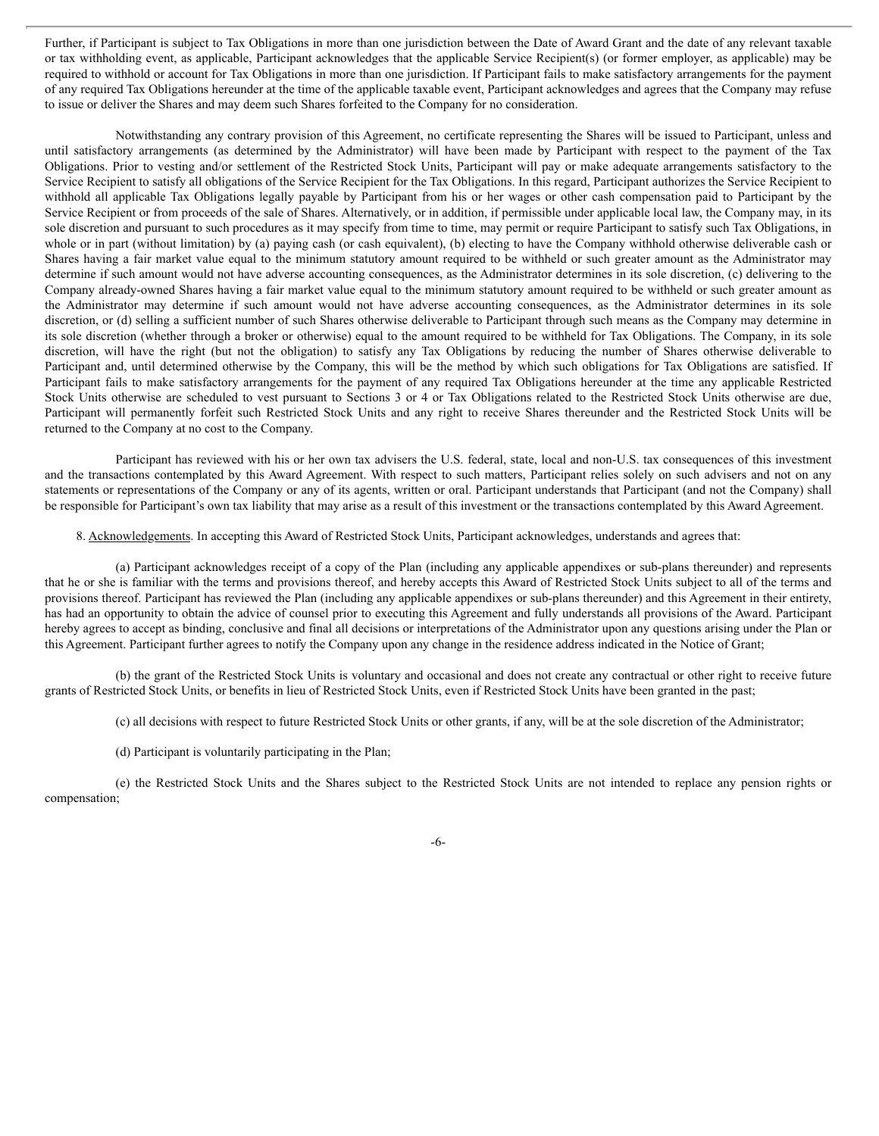Further, if Participant is subject to Tax Obligations in more than one jurisdiction between the Date of Award Grant and the date of any relevant taxable or tax withholding event, as applicable, Participant acknowledges that the applicable Service Recipient(s) (or former employer, as applicable) may be required to withhold or account for Tax Obligations in more than one jurisdiction. If Participant fails to make satisfactory arrangements for the payment of any required Tax Obligations hereunder at the time of the applicable taxable event, Participant acknowledges and agrees that the Company may refuse to issue or deliver the Shares and may deem such Shares forfeited to the Company for no consideration.

Notwithstanding any contrary provision of this Agreement, no certificate representing the Shares will be issued to Participant, unless and until satisfactory arrangements (as determined by the Administrator) will have been made by Participant with respect to the payment of the Tax Obligations. Prior to vesting and/or settlement of the Restricted Stock Units, Participant will pay or make adequate arrangements satisfactory to the Service Recipient to satisfy all obligations of the Service Recipient for the Tax Obligations. In this regard, Participant authorizes the Service Recipient to withhold all applicable Tax Obligations legally payable by Participant from his or her wages or other cash compensation paid to Participant by the Service Recipient or from proceeds of the sale of Shares. Alternatively, or in addition, if permissible under applicable local law, the Company may, in its sole discretion and pursuant to such procedures as it may specify from time to time, may permit or require Participant to satisfy such Tax Obligations, in whole or in part (without limitation) by (a) paying cash (or cash equivalent), (b) electing to have the Company withhold otherwise deliverable cash or Shares having a fair market value equal to the minimum statutory amount required to be withheld or such greater amount as the Administrator may determine if such amount would not have adverse accounting consequences, as the Administrator determines in its sole discretion, (c) delivering to the Company already-owned Shares having a fair market value equal to the minimum statutory amount required to be withheld or such greater amount as the Administrator may determine if such amount would not have adverse accounting consequences, as the Administrator determines in its sole discretion, or (d) selling a sufficient number of such Shares otherwise deliverable to Participant through such means as the Company may determine in its sole discretion (whether through a broker or otherwise) equal to the amount required to be withheld for Tax Obligations. The Company, in its sole discretion, will have the right (but not the obligation) to satisfy any Tax Obligations by reducing the number of Shares otherwise deliverable to Participant and, until determined otherwise by the Company, this will be the method by which such obligations for Tax Obligations are satisfied. If Participant fails to make satisfactory arrangements for the payment of any required Tax Obligations hereunder at the time any applicable Restricted Stock Units otherwise are scheduled to vest pursuant to Sections 3 or 4 or Tax Obligations related to the Restricted Stock Units otherwise are due, Participant will permanently forfeit such Restricted Stock Units and any right to receive Shares thereunder and the Restricted Stock Units will be returned to the Company at no cost to the Company.

Participant has reviewed with his or her own tax advisers the U.S. federal, state, local and non-U.S. tax consequences of this investment and the transactions contemplated by this Award Agreement. With respect to such matters, Participant relies solely on such advisers and not on any statements or representations of the Company or any of its agents, written or oral. Participant understands that Participant (and not the Company) shall be responsible for Participant's own tax liability that may arise as a result of this investment or the transactions contemplated by this Award Agreement.

8. Acknowledgements. In accepting this Award of Restricted Stock Units, Participant acknowledges, understands and agrees that:

(a) Participant acknowledges receipt of a copy of the Plan (including any applicable appendixes or sub-plans thereunder) and represents that he or she is familiar with the terms and provisions thereof, and hereby accepts this Award of Restricted Stock Units subject to all of the terms and provisions thereof. Participant has reviewed the Plan (including any applicable appendixes or sub-plans thereunder) and this Agreement in their entirety, has had an opportunity to obtain the advice of counsel prior to executing this Agreement and fully understands all provisions of the Award. Participant hereby agrees to accept as binding, conclusive and final all decisions or interpretations of the Administrator upon any questions arising under the Plan or this Agreement. Participant further agrees to notify the Company upon any change in the residence address indicated in the Notice of Grant;

(b) the grant of the Restricted Stock Units is voluntary and occasional and does not create any contractual or other right to receive future grants of Restricted Stock Units, or benefits in lieu of Restricted Stock Units, even if Restricted Stock Units have been granted in the past;

(c) all decisions with respect to future Restricted Stock Units or other grants, if any, will be at the sole discretion of the Administrator;

(d) Participant is voluntarily participating in the Plan;

(e) the Restricted Stock Units and the Shares subject to the Restricted Stock Units are not intended to replace any pension rights or compensation;

-6-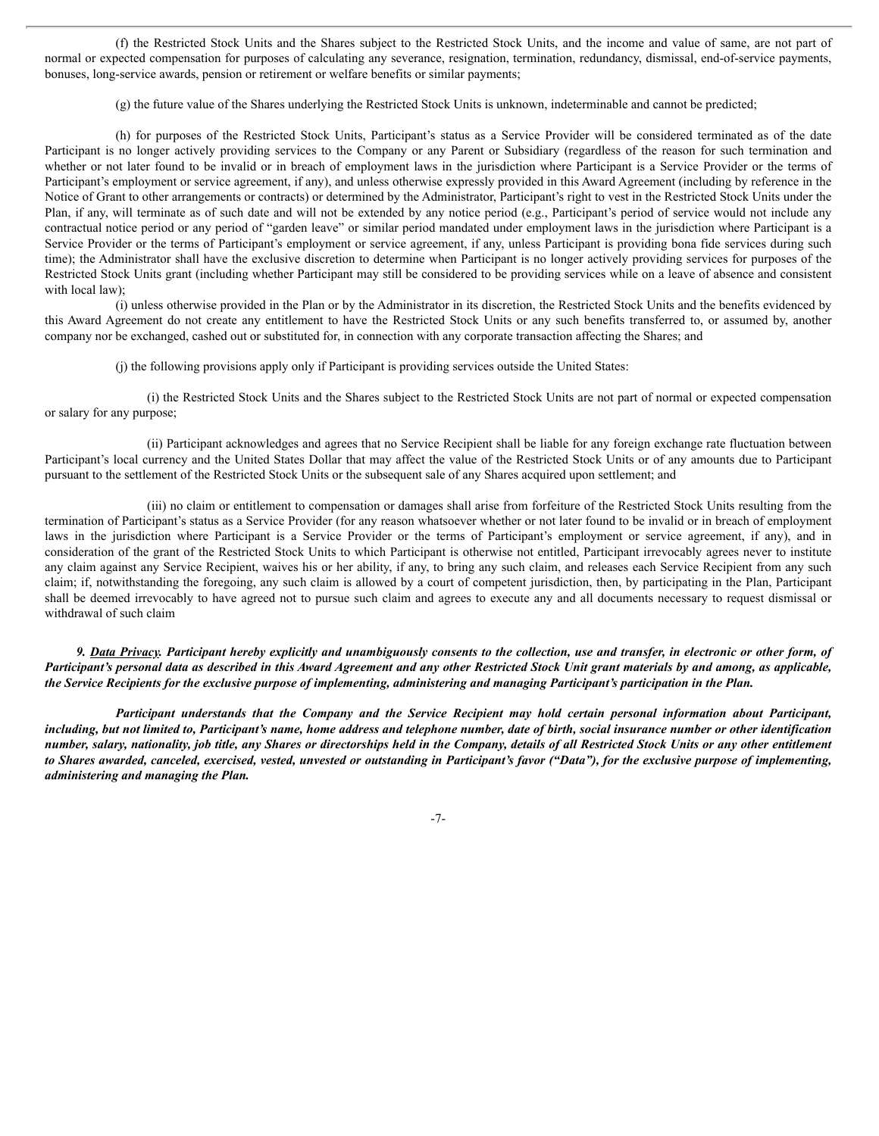(f) the Restricted Stock Units and the Shares subject to the Restricted Stock Units, and the income and value of same, are not part of normal or expected compensation for purposes of calculating any severance, resignation, termination, redundancy, dismissal, end-of-service payments, bonuses, long-service awards, pension or retirement or welfare benefits or similar payments;

(g) the future value of the Shares underlying the Restricted Stock Units is unknown, indeterminable and cannot be predicted;

(h) for purposes of the Restricted Stock Units, Participant's status as a Service Provider will be considered terminated as of the date Participant is no longer actively providing services to the Company or any Parent or Subsidiary (regardless of the reason for such termination and whether or not later found to be invalid or in breach of employment laws in the jurisdiction where Participant is a Service Provider or the terms of Participant's employment or service agreement, if any), and unless otherwise expressly provided in this Award Agreement (including by reference in the Notice of Grant to other arrangements or contracts) or determined by the Administrator, Participant's right to vest in the Restricted Stock Units under the Plan, if any, will terminate as of such date and will not be extended by any notice period (e.g., Participant's period of service would not include any contractual notice period or any period of "garden leave" or similar period mandated under employment laws in the jurisdiction where Participant is a Service Provider or the terms of Participant's employment or service agreement, if any, unless Participant is providing bona fide services during such time); the Administrator shall have the exclusive discretion to determine when Participant is no longer actively providing services for purposes of the Restricted Stock Units grant (including whether Participant may still be considered to be providing services while on a leave of absence and consistent with local law);

(i) unless otherwise provided in the Plan or by the Administrator in its discretion, the Restricted Stock Units and the benefits evidenced by this Award Agreement do not create any entitlement to have the Restricted Stock Units or any such benefits transferred to, or assumed by, another company nor be exchanged, cashed out or substituted for, in connection with any corporate transaction affecting the Shares; and

(j) the following provisions apply only if Participant is providing services outside the United States:

(i) the Restricted Stock Units and the Shares subject to the Restricted Stock Units are not part of normal or expected compensation or salary for any purpose;

(ii) Participant acknowledges and agrees that no Service Recipient shall be liable for any foreign exchange rate fluctuation between Participant's local currency and the United States Dollar that may affect the value of the Restricted Stock Units or of any amounts due to Participant pursuant to the settlement of the Restricted Stock Units or the subsequent sale of any Shares acquired upon settlement; and

(iii) no claim or entitlement to compensation or damages shall arise from forfeiture of the Restricted Stock Units resulting from the termination of Participant's status as a Service Provider (for any reason whatsoever whether or not later found to be invalid or in breach of employment laws in the jurisdiction where Participant is a Service Provider or the terms of Participant's employment or service agreement, if any), and in consideration of the grant of the Restricted Stock Units to which Participant is otherwise not entitled, Participant irrevocably agrees never to institute any claim against any Service Recipient, waives his or her ability, if any, to bring any such claim, and releases each Service Recipient from any such claim; if, notwithstanding the foregoing, any such claim is allowed by a court of competent jurisdiction, then, by participating in the Plan, Participant shall be deemed irrevocably to have agreed not to pursue such claim and agrees to execute any and all documents necessary to request dismissal or withdrawal of such claim

9. Data Privacy. Participant hereby explicitly and unambiguously consents to the collection, use and transfer, in electronic or other form, of Participant's personal data as described in this Award Agreement and any other Restricted Stock Unit grant materials by and among, as applicable, the Service Recipients for the exclusive purpose of implementing, administering and managing Participant's participation in the Plan.

Participant understands that the Company and the Service Recipient may hold certain personal information about Participant, including, but not limited to, Participant's name, home address and telephone number, date of birth, social insurance number or other identification number, salary, nationality, job title, any Shares or directorships held in the Company, details of all Restricted Stock Units or any other entitlement to Shares awarded, canceled, exercised, vested, unvested or outstanding in Participant's favor ("Data"), for the exclusive purpose of implementing, *administering and managing the Plan.*

-7-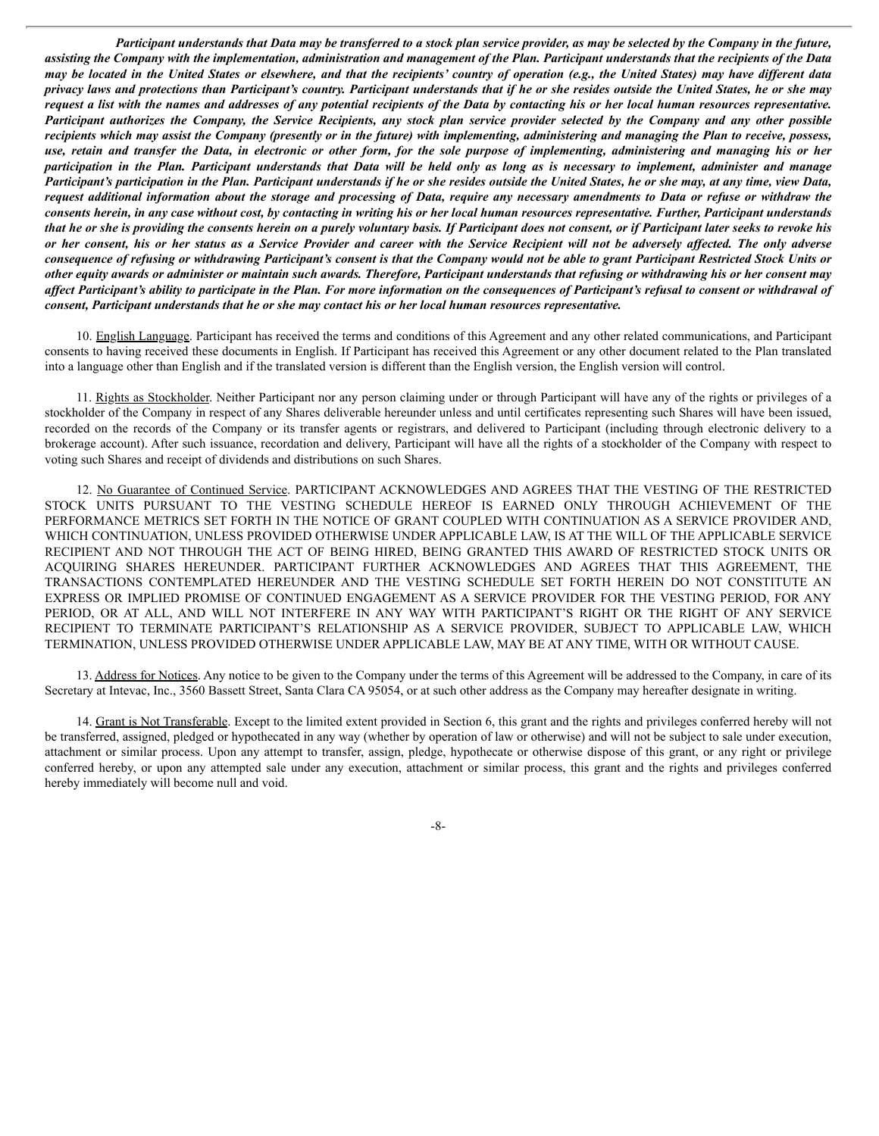Participant understands that Data may be transferred to a stock plan service provider, as may be selected by the Company in the future, assisting the Company with the implementation, administration and management of the Plan. Participant understands that the recipients of the Data may be located in the United States or elsewhere, and that the recipients' country of operation (e.g., the United States) may have different data privacy laws and protections than Participant's country. Participant understands that if he or she resides outside the United States, he or she may request a list with the names and addresses of any potential recipients of the Data by contacting his or her local human resources representative. Participant authorizes the Company, the Service Recipients, any stock plan service provider selected by the Company and any other possible recipients which may assist the Company (presently or in the future) with implementing, administering and managing the Plan to receive, possess, use, retain and transfer the Data, in electronic or other form, for the sole purpose of implementing, administering and managing his or her participation in the Plan. Participant understands that Data will be held only as long as is necessary to implement, administer and manage Participant's participation in the Plan. Participant understands if he or she resides outside the United States, he or she may, at any time, view Data, request additional information about the storage and processing of Data, require any necessary amendments to Data or refuse or withdraw the consents herein, in any case without cost, by contacting in writing his or her local human resources representative. Further, Participant understands that he or she is providing the consents herein on a purely voluntary basis. If Participant does not consent, or if Participant later seeks to revoke his or her consent, his or her status as a Service Provider and career with the Service Recipient will not be adversely affected. The only adverse consequence of refusing or withdrawing Participant's consent is that the Company would not be able to grant Participant Restricted Stock Units or other equity awards or administer or maintain such awards. Therefore, Participant understands that refusing or withdrawing his or her consent may affect Participant's ability to participate in the Plan. For more information on the consequences of Participant's refusal to consent or withdrawal of *consent, Participant understands that he or she may contact his or her local human resources representative.*

10. English Language. Participant has received the terms and conditions of this Agreement and any other related communications, and Participant consents to having received these documents in English. If Participant has received this Agreement or any other document related to the Plan translated into a language other than English and if the translated version is different than the English version, the English version will control.

11. Rights as Stockholder. Neither Participant nor any person claiming under or through Participant will have any of the rights or privileges of a stockholder of the Company in respect of any Shares deliverable hereunder unless and until certificates representing such Shares will have been issued, recorded on the records of the Company or its transfer agents or registrars, and delivered to Participant (including through electronic delivery to a brokerage account). After such issuance, recordation and delivery, Participant will have all the rights of a stockholder of the Company with respect to voting such Shares and receipt of dividends and distributions on such Shares.

12. No Guarantee of Continued Service. PARTICIPANT ACKNOWLEDGES AND AGREES THAT THE VESTING OF THE RESTRICTED STOCK UNITS PURSUANT TO THE VESTING SCHEDULE HEREOF IS EARNED ONLY THROUGH ACHIEVEMENT OF THE PERFORMANCE METRICS SET FORTH IN THE NOTICE OF GRANT COUPLED WITH CONTINUATION AS A SERVICE PROVIDER AND, WHICH CONTINUATION, UNLESS PROVIDED OTHERWISE UNDER APPLICABLE LAW, IS AT THE WILL OF THE APPLICABLE SERVICE RECIPIENT AND NOT THROUGH THE ACT OF BEING HIRED, BEING GRANTED THIS AWARD OF RESTRICTED STOCK UNITS OR ACQUIRING SHARES HEREUNDER. PARTICIPANT FURTHER ACKNOWLEDGES AND AGREES THAT THIS AGREEMENT, THE TRANSACTIONS CONTEMPLATED HEREUNDER AND THE VESTING SCHEDULE SET FORTH HEREIN DO NOT CONSTITUTE AN EXPRESS OR IMPLIED PROMISE OF CONTINUED ENGAGEMENT AS A SERVICE PROVIDER FOR THE VESTING PERIOD, FOR ANY PERIOD, OR AT ALL, AND WILL NOT INTERFERE IN ANY WAY WITH PARTICIPANT'S RIGHT OR THE RIGHT OF ANY SERVICE RECIPIENT TO TERMINATE PARTICIPANT'S RELATIONSHIP AS A SERVICE PROVIDER, SUBJECT TO APPLICABLE LAW, WHICH TERMINATION, UNLESS PROVIDED OTHERWISE UNDER APPLICABLE LAW, MAY BE AT ANY TIME, WITH OR WITHOUT CAUSE.

13. Address for Notices. Any notice to be given to the Company under the terms of this Agreement will be addressed to the Company, in care of its Secretary at Intevac, Inc., 3560 Bassett Street, Santa Clara CA 95054, or at such other address as the Company may hereafter designate in writing.

14. Grant is Not Transferable. Except to the limited extent provided in Section 6, this grant and the rights and privileges conferred hereby will not be transferred, assigned, pledged or hypothecated in any way (whether by operation of law or otherwise) and will not be subject to sale under execution, attachment or similar process. Upon any attempt to transfer, assign, pledge, hypothecate or otherwise dispose of this grant, or any right or privilege conferred hereby, or upon any attempted sale under any execution, attachment or similar process, this grant and the rights and privileges conferred hereby immediately will become null and void.

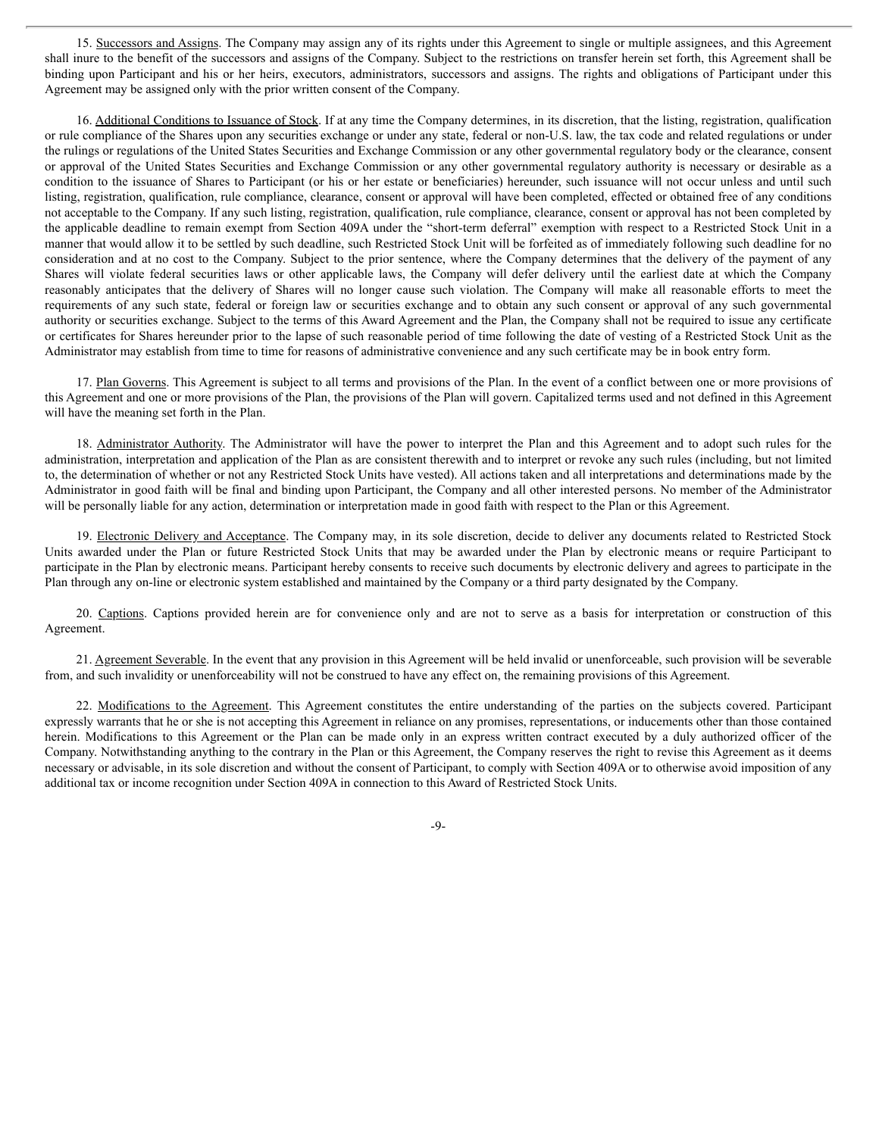15. Successors and Assigns. The Company may assign any of its rights under this Agreement to single or multiple assignees, and this Agreement shall inure to the benefit of the successors and assigns of the Company. Subject to the restrictions on transfer herein set forth, this Agreement shall be binding upon Participant and his or her heirs, executors, administrators, successors and assigns. The rights and obligations of Participant under this Agreement may be assigned only with the prior written consent of the Company.

16. Additional Conditions to Issuance of Stock. If at any time the Company determines, in its discretion, that the listing, registration, qualification or rule compliance of the Shares upon any securities exchange or under any state, federal or non-U.S. law, the tax code and related regulations or under the rulings or regulations of the United States Securities and Exchange Commission or any other governmental regulatory body or the clearance, consent or approval of the United States Securities and Exchange Commission or any other governmental regulatory authority is necessary or desirable as a condition to the issuance of Shares to Participant (or his or her estate or beneficiaries) hereunder, such issuance will not occur unless and until such listing, registration, qualification, rule compliance, clearance, consent or approval will have been completed, effected or obtained free of any conditions not acceptable to the Company. If any such listing, registration, qualification, rule compliance, clearance, consent or approval has not been completed by the applicable deadline to remain exempt from Section 409A under the "short-term deferral" exemption with respect to a Restricted Stock Unit in a manner that would allow it to be settled by such deadline, such Restricted Stock Unit will be forfeited as of immediately following such deadline for no consideration and at no cost to the Company. Subject to the prior sentence, where the Company determines that the delivery of the payment of any Shares will violate federal securities laws or other applicable laws, the Company will defer delivery until the earliest date at which the Company reasonably anticipates that the delivery of Shares will no longer cause such violation. The Company will make all reasonable efforts to meet the requirements of any such state, federal or foreign law or securities exchange and to obtain any such consent or approval of any such governmental authority or securities exchange. Subject to the terms of this Award Agreement and the Plan, the Company shall not be required to issue any certificate or certificates for Shares hereunder prior to the lapse of such reasonable period of time following the date of vesting of a Restricted Stock Unit as the Administrator may establish from time to time for reasons of administrative convenience and any such certificate may be in book entry form.

17. Plan Governs. This Agreement is subject to all terms and provisions of the Plan. In the event of a conflict between one or more provisions of this Agreement and one or more provisions of the Plan, the provisions of the Plan will govern. Capitalized terms used and not defined in this Agreement will have the meaning set forth in the Plan.

18. Administrator Authority. The Administrator will have the power to interpret the Plan and this Agreement and to adopt such rules for the administration, interpretation and application of the Plan as are consistent therewith and to interpret or revoke any such rules (including, but not limited to, the determination of whether or not any Restricted Stock Units have vested). All actions taken and all interpretations and determinations made by the Administrator in good faith will be final and binding upon Participant, the Company and all other interested persons. No member of the Administrator will be personally liable for any action, determination or interpretation made in good faith with respect to the Plan or this Agreement.

19. Electronic Delivery and Acceptance. The Company may, in its sole discretion, decide to deliver any documents related to Restricted Stock Units awarded under the Plan or future Restricted Stock Units that may be awarded under the Plan by electronic means or require Participant to participate in the Plan by electronic means. Participant hereby consents to receive such documents by electronic delivery and agrees to participate in the Plan through any on-line or electronic system established and maintained by the Company or a third party designated by the Company.

20. Captions. Captions provided herein are for convenience only and are not to serve as a basis for interpretation or construction of this Agreement.

21. Agreement Severable. In the event that any provision in this Agreement will be held invalid or unenforceable, such provision will be severable from, and such invalidity or unenforceability will not be construed to have any effect on, the remaining provisions of this Agreement.

22. Modifications to the Agreement. This Agreement constitutes the entire understanding of the parties on the subjects covered. Participant expressly warrants that he or she is not accepting this Agreement in reliance on any promises, representations, or inducements other than those contained herein. Modifications to this Agreement or the Plan can be made only in an express written contract executed by a duly authorized officer of the Company. Notwithstanding anything to the contrary in the Plan or this Agreement, the Company reserves the right to revise this Agreement as it deems necessary or advisable, in its sole discretion and without the consent of Participant, to comply with Section 409A or to otherwise avoid imposition of any additional tax or income recognition under Section 409A in connection to this Award of Restricted Stock Units.